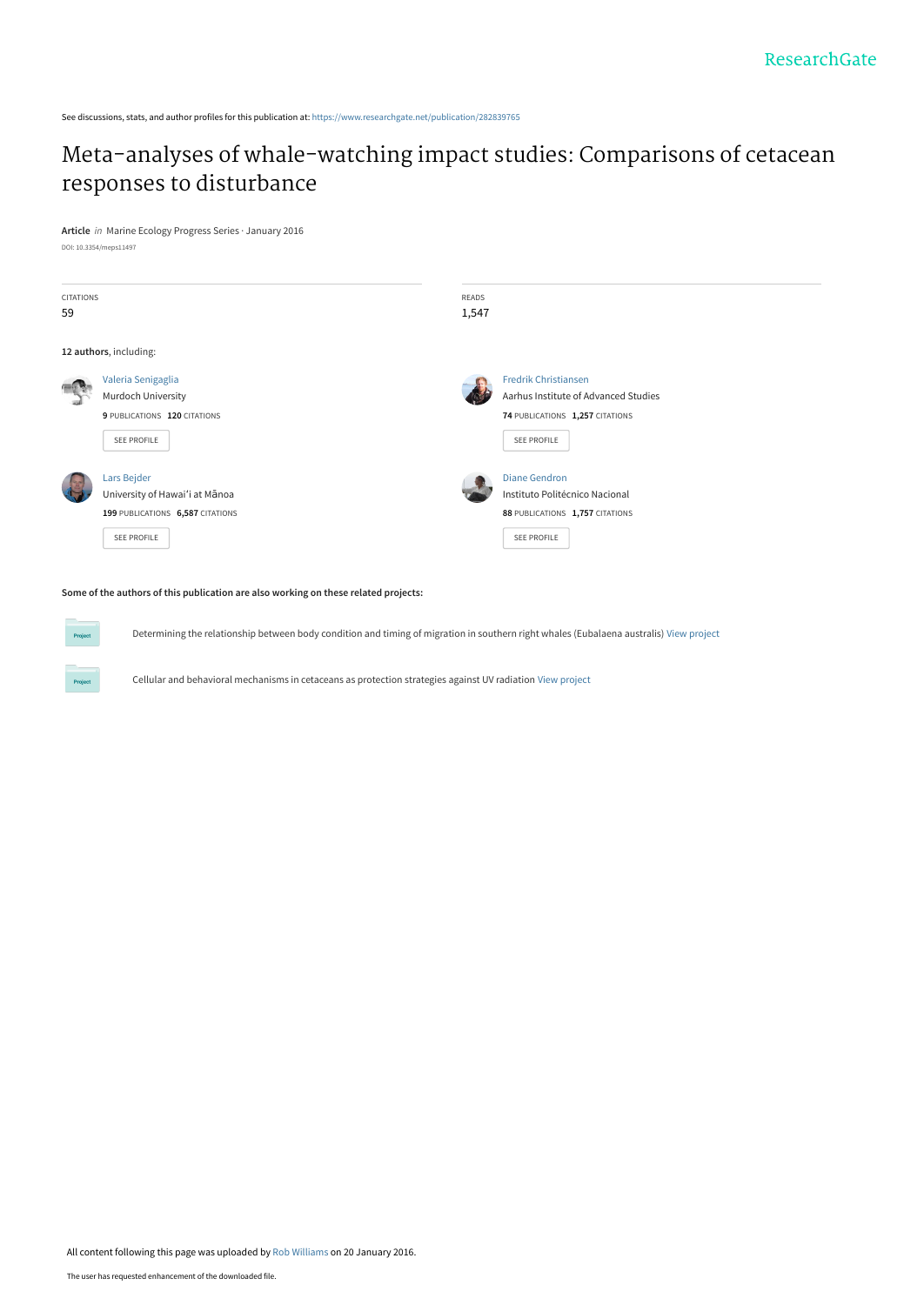See discussions, stats, and author profiles for this publication at: [https://www.researchgate.net/publication/282839765](https://www.researchgate.net/publication/282839765_Meta-analyses_of_whale-watching_impact_studies_Comparisons_of_cetacean_responses_to_disturbance?enrichId=rgreq-abb4246379560df8a49897c69eeb37c9-XXX&enrichSource=Y292ZXJQYWdlOzI4MjgzOTc2NTtBUzozMjAwNjU5MzE1NDY2MjRAMTQ1MzMyMTA3Mjk1OA%3D%3D&el=1_x_2&_esc=publicationCoverPdf)

# [Meta-analyses of whale-watching impact studies: Comparisons of cetacean](https://www.researchgate.net/publication/282839765_Meta-analyses_of_whale-watching_impact_studies_Comparisons_of_cetacean_responses_to_disturbance?enrichId=rgreq-abb4246379560df8a49897c69eeb37c9-XXX&enrichSource=Y292ZXJQYWdlOzI4MjgzOTc2NTtBUzozMjAwNjU5MzE1NDY2MjRAMTQ1MzMyMTA3Mjk1OA%3D%3D&el=1_x_3&_esc=publicationCoverPdf) responses to disturbance

**Article** in Marine Ecology Progress Series · January 2016 DOI: 10.3354/meps11497

| <b>CITATIONS</b><br>59 |                                                                                                  | READS<br>1,547 |                                                                                                                       |
|------------------------|--------------------------------------------------------------------------------------------------|----------------|-----------------------------------------------------------------------------------------------------------------------|
|                        | 12 authors, including:                                                                           |                |                                                                                                                       |
|                        | Valeria Senigaglia<br>Murdoch University<br>9 PUBLICATIONS 120 CITATIONS<br>SEE PROFILE          |                | <b>Fredrik Christiansen</b><br>Aarhus Institute of Advanced Studies<br>74 PUBLICATIONS 1,257 CITATIONS<br>SEE PROFILE |
|                        | Lars Bejder<br>University of Hawai'i at Mānoa<br>199 PUBLICATIONS 6,587 CITATIONS<br>SEE PROFILE |                | <b>Diane Gendron</b><br>Instituto Politécnico Nacional<br>88 PUBLICATIONS 1,757 CITATIONS<br>SEE PROFILE              |

### **Some of the authors of this publication are also working on these related projects:**

**Project** 

Determining the relationship between body condition and timing of migration in southern right whales (Eubalaena australis) [View project](https://www.researchgate.net/project/Determining-the-relationship-between-body-condition-and-timing-of-migration-in-southern-right-whales-Eubalaena-australis?enrichId=rgreq-abb4246379560df8a49897c69eeb37c9-XXX&enrichSource=Y292ZXJQYWdlOzI4MjgzOTc2NTtBUzozMjAwNjU5MzE1NDY2MjRAMTQ1MzMyMTA3Mjk1OA%3D%3D&el=1_x_9&_esc=publicationCoverPdf)

Cellular and behavioral mechanisms in cetaceans as protection strategies against UV radiation [View project](https://www.researchgate.net/project/Cellular-and-behavioral-mechanisms-in-cetaceans-as-protection-strategies-against-UV-radiation?enrichId=rgreq-abb4246379560df8a49897c69eeb37c9-XXX&enrichSource=Y292ZXJQYWdlOzI4MjgzOTc2NTtBUzozMjAwNjU5MzE1NDY2MjRAMTQ1MzMyMTA3Mjk1OA%3D%3D&el=1_x_9&_esc=publicationCoverPdf)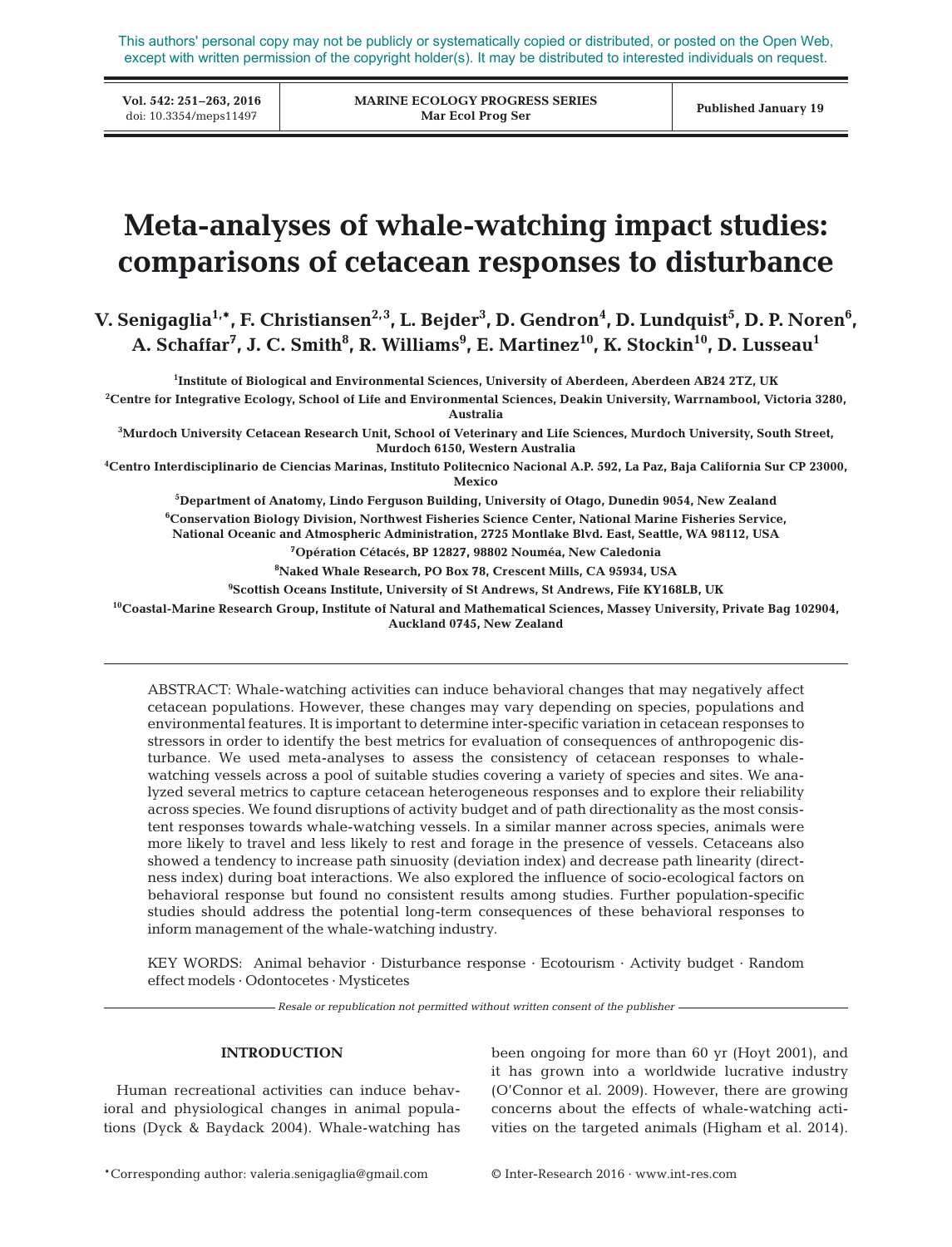This authors' personal copy may not be publicly or systematically copied or distributed, or posted on the Open Web, except with written permission of the copyright holder(s). It may be distributed to interested individuals on request.

**Vol. 542: 251–263, 2016**

**MARINE ECOLOGY PROGRESS SERIES Mar Ecol Prog Ser** VOI. 542: 251–203, 2010<br>doi: 10.3354/meps11497 **Published January 19**<br>Mar Ecol Prog Ser

# **Meta-analyses of whale-watching impact studies: comparisons of cetacean responses to disturbance**

 $V.$  Senigaglia<sup>1,</sup>\*, F. Christiansen $^{2,3}$ , L. Bejder $^3$ , D. Gendron $^4$ , D. Lundquist $^5$ , D. P. Noren $^6$ , A. Schaffar<sup>7</sup>, J. C. Smith<sup>8</sup>, R. Williams<sup>9</sup>, E. Martinez<sup>10</sup>, K. Stockin<sup>10</sup>, D. Lusseau<sup>1</sup>

**1 Institute of Biological and Environmental Sciences, University of Aberdeen, Aberdeen AB24 2TZ, UK**

**2 Centre for Integrative Ecology, School of Life and Environmental Sciences, Deakin University, Warrnambool, Victoria 3280, Australia**

**3 Murdoch University Cetacean Research Unit, School of Veterinary and Life Sciences, Murdoch University, South Street, Murdoch 6150, Western Australia**

**4 Centro Interdisciplinario de Ciencias Marinas, Instituto Politecnico Nacional A.P. 592, La Paz, Baja California Sur CP 23000, Mexico**

**5 Department of Anatomy, Lindo Ferguson Building, University of Otago, Dunedin 9054, New Zealand**

**6 Conservation Biology Division, Northwest Fisheries Science Center, National Marine Fisheries Service,** 

**National Oceanic and Atmospheric Administration, 2725 Montlake Blvd. East, Seattle, WA 98112, USA**

**7 Opération Cétacés, BP 12827, 98802 Nouméa, New Caledonia**

**8 Naked Whale Research, PO Box 78, Crescent Mills, CA 95934, USA**

**9 Scottish Oceans Institute, University of St Andrews, St Andrews, Fife KY168LB, UK**

**10Coastal-Marine Research Group, Institute of Natural and Mathematical Sciences, Massey University, Private Bag 102904, Auckland 0745, New Zealand**

ABSTRACT: Whale-watching activities can induce behavioral changes that may negatively affect cetacean populations. However, these changes may vary depending on species, populations and environmental features. It is important to determine inter-specific variation in cetacean responses to stressors in order to identify the best metrics for evaluation of consequences of anthropogenic disturbance. We used meta-analyses to assess the consistency of cetacean responses to whalewatching vessels across a pool of suitable studies covering a variety of species and sites. We analyzed several metrics to capture cetacean heterogeneous responses and to explore their reliability across species. We found disruptions of activity budget and of path directionality as the most consistent responses towards whale-watching vessels. In a similar manner across species, animals were more likely to travel and less likely to rest and forage in the presence of vessels. Cetaceans also showed a tendency to increase path sinuosity (deviation index) and decrease path linearity (directness index) during boat interactions. We also explored the influence of socio-ecological factors on behavioral response but found no consistent results among studies. Further population-specific studies should address the potential long-term consequences of these behavioral responses to inform management of the whale-watching industry.

KEY WORDS: Animal behavior · Disturbance response · Ecotourism · Activity budget · Random effect models · Odontocetes · Mysticetes

- Resale or republication not permitted without written consent of the publisher -

# **INTRODUCTION**

Human recreational activities can induce behavioral and physiological changes in animal populations (Dyck & Baydack 2004). Whale-watching has been ongoing for more than 60 yr (Hoyt 2001), and it has grown into a worldwide lucrative industry (O'Connor et al. 2009). However, there are growing concerns about the effects of whale-watching activities on the targeted animals (Higham et al. 2014).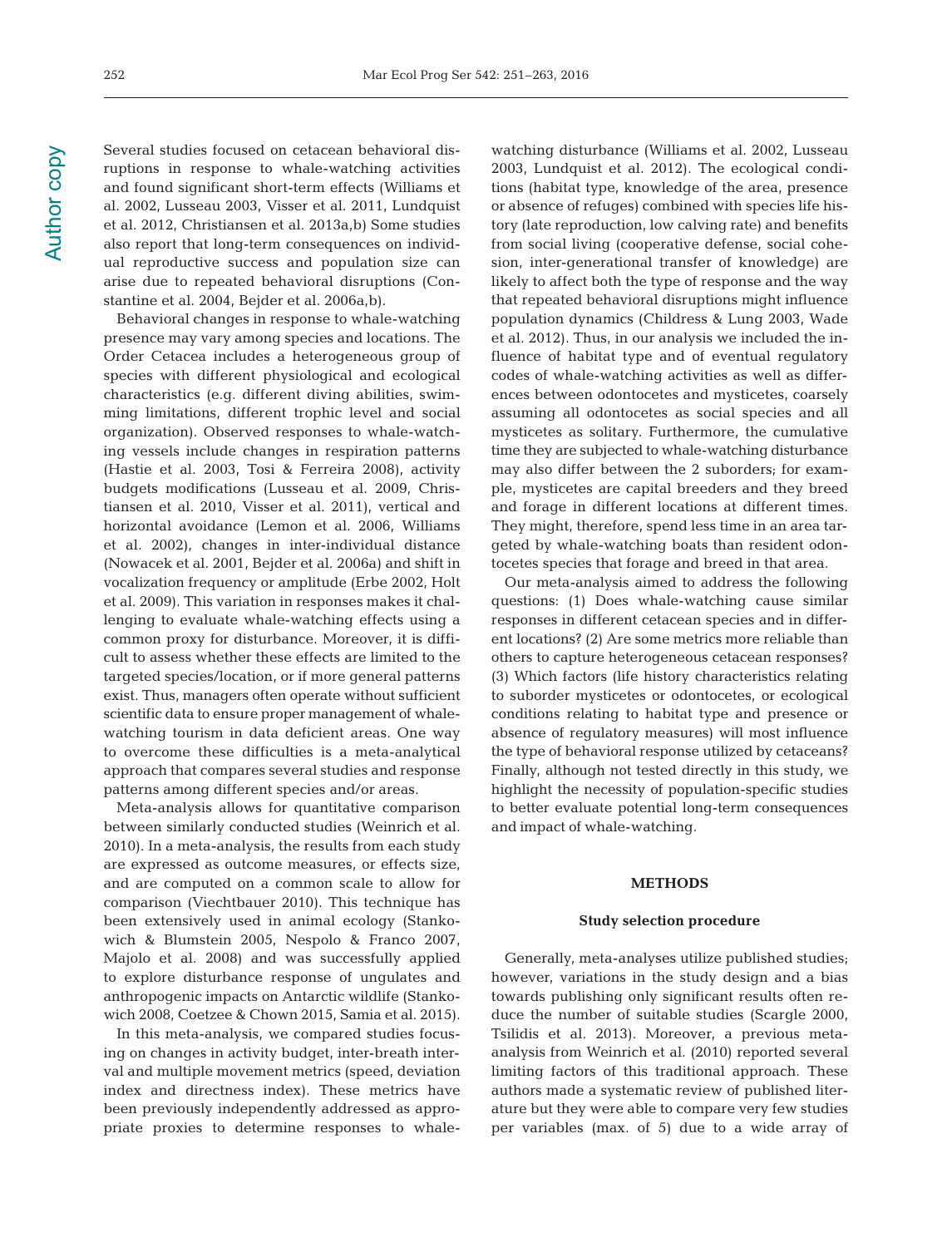Several studies focused on cetacean behavioral disruptions in response to whale-watching activities and found significant short-term effects (Williams et al. 2002, Lusseau 2003, Visser et al. 2011, Lundquist et al. 2012, Christiansen et al. 2013a,b) Some studies also report that long-term consequences on individual reproductive success and population size can arise due to repeated behavioral disruptions (Constantine et al. 2004, Bejder et al. 2006a,b).

Behavioral changes in response to whale-watching presence may vary among species and locations. The Order Cetacea includes a heterogeneous group of species with different physiological and ecological characteristics (e.g. different diving abilities, swimming limitations, different trophic level and social organization). Observed responses to whale-watching vessels include changes in respiration patterns (Hastie et al. 2003, Tosi & Ferreira 2008), activity budgets modifications (Lusseau et al. 2009, Christiansen et al. 2010, Visser et al. 2011), vertical and horizontal avoidance (Lemon et al. 2006, Williams et al. 2002), changes in inter-individual distance (Nowacek et al. 2001, Bejder et al. 2006a) and shift in vocalization frequency or amplitude (Erbe 2002, Holt et al. 2009). This variation in responses makes it challenging to evaluate whale-watching effects using a common proxy for disturbance. Moreover, it is difficult to assess whether these effects are limited to the targeted species/location, or if more general patterns exist. Thus, managers often operate without sufficient scientific data to ensure proper management of whalewatching tourism in data deficient areas. One way to overcome these difficulties is a meta-analytical approach that compares several studies and response patterns among different species and/or areas.

Meta-analysis allows for quantitative comparison between similarly conducted studies (Weinrich et al. 2010). In a meta-analysis, the results from each study are expressed as outcome measures, or effects size, and are computed on a common scale to allow for comparison (Viechtbauer 2010). This technique has been extensively used in animal ecology (Stankowich & Blumstein 2005, Nespolo & Franco 2007, Majolo et al. 2008) and was successfully applied to explore disturbance response of ungulates and anthropogenic impacts on Antarctic wildlife (Stankowich 2008, Coetzee & Chown 2015, Samia et al. 2015).

In this meta-analysis, we compared studies focusing on changes in activity budget, inter-breath interval and multiple movement metrics (speed, deviation index and directness index). These metrics have been previously independently addressed as appropriate proxies to determine responses to whalewatching disturbance (Williams et al. 2002, Lusseau 2003, Lundquist et al. 2012). The ecological conditions (habitat type, knowledge of the area, presence or absence of refuges) combined with species life history (late reproduction, low calving rate) and benefits from social living (cooperative defense, social cohesion, inter-generational transfer of knowledge) are likely to affect both the type of response and the way that repeated behavioral disruptions might influence population dynamics (Childress & Lung 2003, Wade et al. 2012). Thus, in our analysis we included the in fluence of habitat type and of eventual regulatory codes of whale-watching activities as well as differences between odontocetes and mysticetes, coarsely assuming all odontocetes as social species and all mysticetes as solitary. Furthermore, the cumulative time they are subjected to whale-watching disturbance may also differ between the 2 suborders; for example, mysticetes are capital breeders and they breed and forage in different locations at different times. They might, therefore, spend less time in an area targeted by whale-watching boats than resident odontocetes species that forage and breed in that area.

Our meta-analysis aimed to address the following questions: (1) Does whale-watching cause similar responses in different cetacean species and in different locations? (2) Are some metrics more reliable than others to capture heterogeneous cetacean responses? (3) Which factors (life history characteristics relating to suborder mysticetes or odontocetes, or ecological conditions relating to habitat type and presence or absence of regulatory measures) will most influence the type of behavioral response utilized by cetaceans? Finally, although not tested directly in this study, we highlight the necessity of population-specific studies to better evaluate potential long-term consequences and impact of whale-watching.

#### **METHODS**

#### **Study selection procedure**

Generally, meta-analyses utilize published studies; however, variations in the study design and a bias towards publishing only significant results often re duce the number of suitable studies (Scargle 2000, Tsilidis et al. 2013). Moreover, a previous metaanalysis from Weinrich et al. (2010) reported several limiting factors of this traditional approach. These authors made a systematic review of published literature but they were able to compare very few studies per variables (max. of 5) due to a wide array of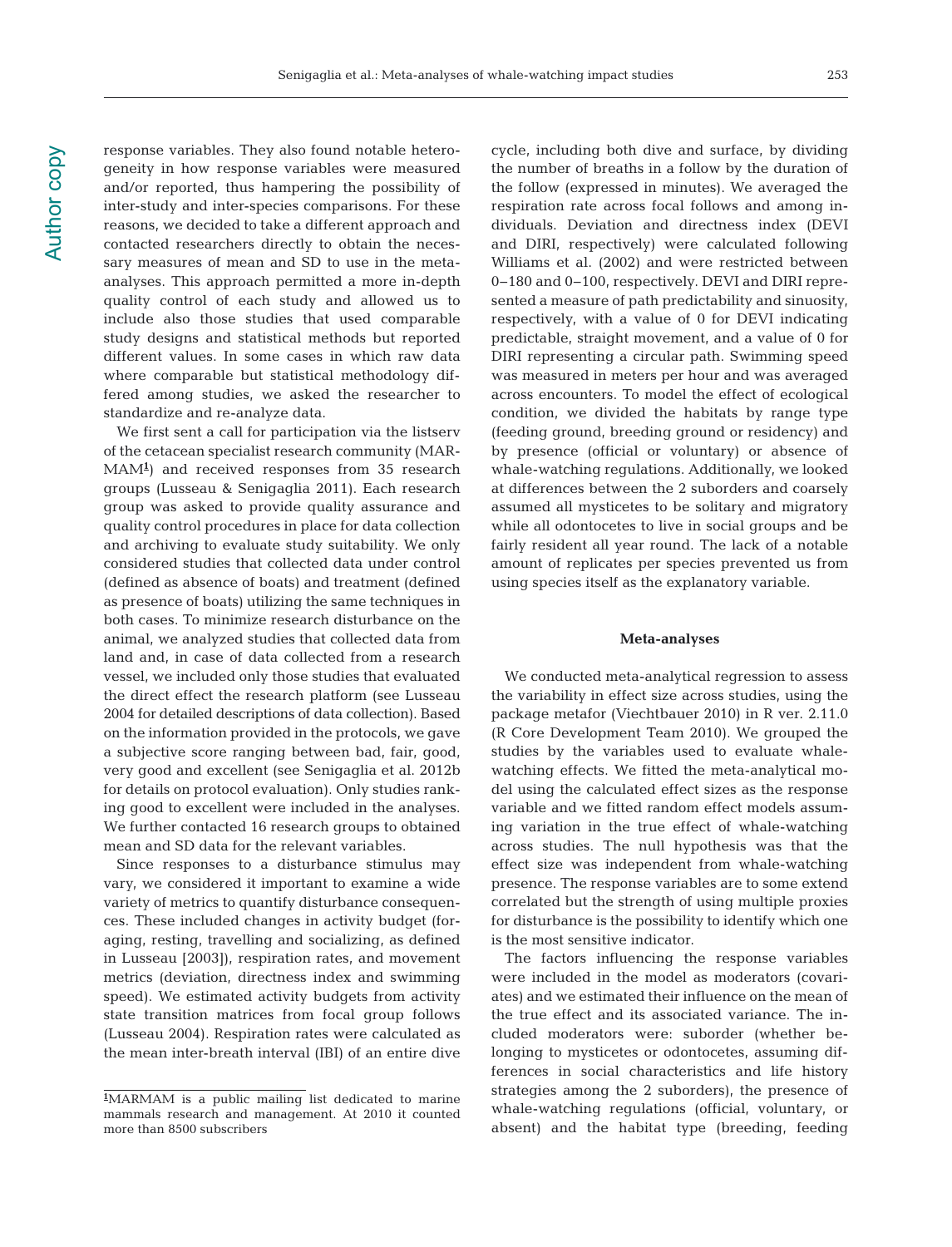response variables. They also found notable heterogeneity in how response variables were measured and/or reported, thus hampering the possibility of inter-study and inter-species comparisons. For these reasons, we decided to take a different approach and contacted researchers directly to obtain the necessary measures of mean and SD to use in the metaanalyses. This approach permitted a more in-depth quality control of each study and allowed us to include also those studies that used comparable study designs and statistical methods but reported different values. In some cases in which raw data where comparable but statistical methodology differed among studies, we asked the researcher to standardize and re-analyze data.

We first sent a call for participation via the listserv of the cetacean specialist research community (MAR-MAM**<sup>1</sup>** ) and received responses from 35 research groups (Lusseau & Senigaglia 2011). Each research group was asked to provide quality assurance and quality control procedures in place for data collection and archiving to evaluate study suitability. We only considered studies that collected data under control (defined as absence of boats) and treatment (defined as presence of boats) utilizing the same techniques in both cases. To minimize research disturbance on the animal, we analyzed studies that collected data from land and, in case of data collected from a research vessel, we included only those studies that evaluated the direct effect the research platform (see Lusseau 2004 for detailed descriptions of data collection). Based on the information provided in the protocols, we gave a subjective score ranging between bad, fair, good, very good and excellent (see Senigaglia et al. 2012b for details on protocol evaluation). Only studies ranking good to excellent were included in the analyses. We further contacted 16 research groups to obtained mean and SD data for the relevant variables.

Since responses to a disturbance stimulus may vary, we considered it important to examine a wide variety of metrics to quantify disturbance consequen ces. These included changes in activity budget (foraging, resting, travelling and socializing, as defined in Lusseau [2003]), respiration rates, and movement metrics (deviation, directness index and swimming speed). We estimated activity budgets from activity state transition matrices from focal group follows (Lusseau 2004). Respiration rates were calculated as the mean inter-breath interval (IBI) of an entire dive

cycle, including both dive and surface, by dividing the number of breaths in a follow by the duration of the follow (expressed in minutes). We averaged the respiration rate across focal follows and among individuals. Deviation and directness index (DEVI and DIRI, respectively) were calculated following Williams et al. (2002) and were restricted between 0−180 and 0−100, respectively. DEVI and DIRI represented a measure of path predictability and sinuosity, respectively, with a value of 0 for DEVI indicating predictable, straight movement, and a value of 0 for DIRI representing a circular path. Swimming speed was measured in meters per hour and was averaged across encounters. To model the effect of ecological condition, we divided the habitats by range type (feeding ground, breeding ground or residency) and by presence (official or voluntary) or absence of whale-watching regulations. Additionally, we looked at differences between the 2 suborders and coarsely assumed all mysticetes to be solitary and migratory while all odontocetes to live in social groups and be fairly resident all year round. The lack of a notable amount of replicates per species prevented us from using species itself as the explanatory variable.

#### **Meta-analyses**

We conducted meta-analytical regression to assess the variability in effect size across studies, using the package metafor (Viechtbauer 2010) in R ver. 2.11.0 (R Core Development Team 2010). We grouped the studies by the variables used to evaluate whalewatching effects. We fitted the meta-analytical model using the calculated effect sizes as the response variable and we fitted random effect models assuming variation in the true effect of whale-watching across studies. The null hypothesis was that the effect size was independent from whale-watching presence. The response variables are to some extend correlated but the strength of using multiple proxies for disturbance is the possibility to identify which one is the most sensitive indicator.

The factors influencing the response variables were included in the model as moderators (covariates) and we estimated their influence on the mean of the true effect and its associated variance. The included moderators were: suborder (whether be longing to mysticetes or odontocetes, assuming differences in social characteristics and life history strategies among the 2 suborders), the presence of whale-watching regulations (official, voluntary, or absent) and the habitat type (breeding, feeding

**<sup>1</sup>** MARMAM is a public mailing list dedicated to marine mammals research and management. At 2010 it counted more than 8500 subscribers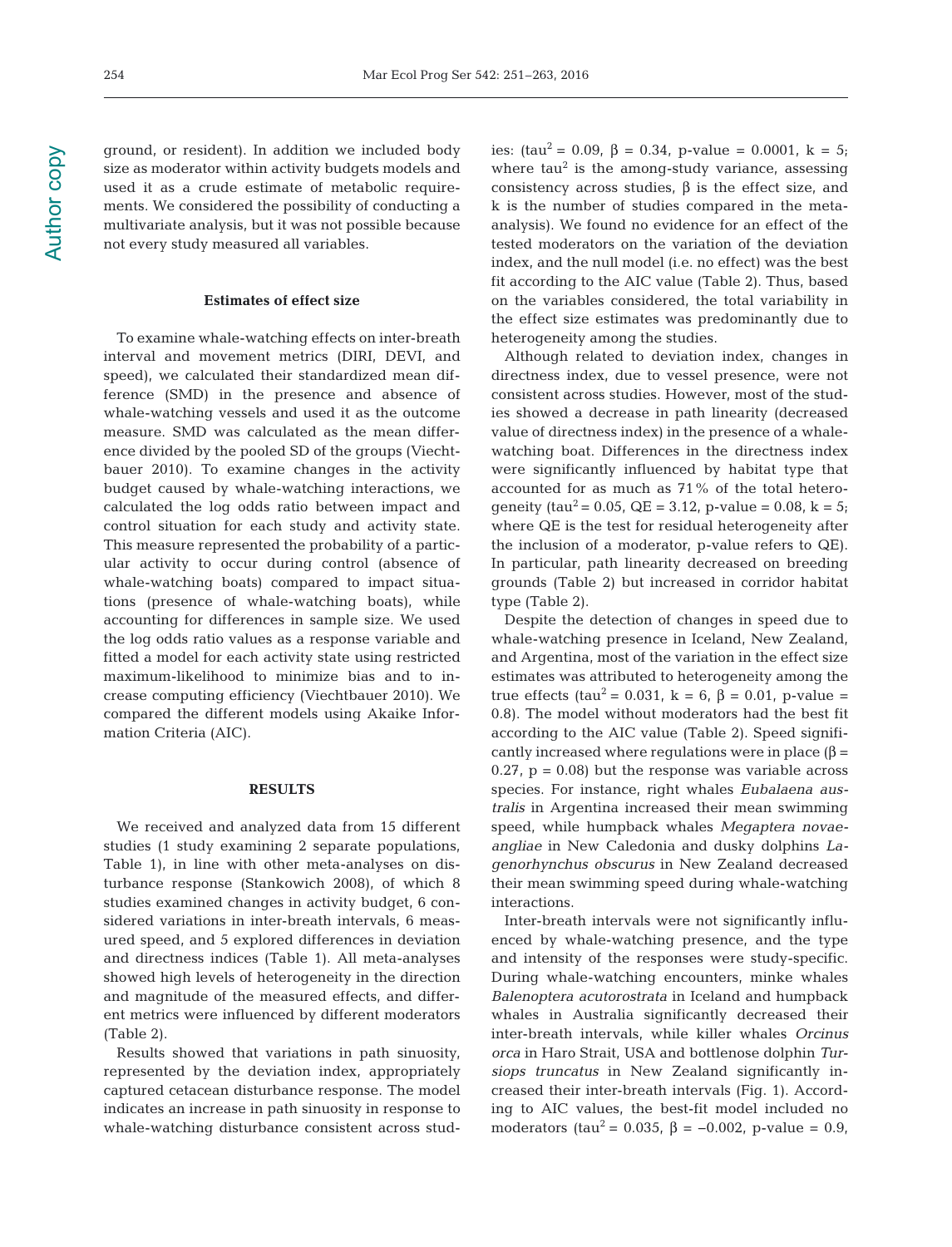#### **Estimates of effect size**

To examine whale-watching effects on inter-breath interval and movement metrics (DIRI, DEVI, and speed), we calculated their standardized mean difference (SMD) in the presence and absence of whale-watching vessels and used it as the outcome measure. SMD was calculated as the mean difference divided by the pooled SD of the groups (Viechtbauer 2010). To examine changes in the activity budget caused by whale-watching interactions, we calculated the log odds ratio between impact and control situation for each study and activity state. This measure represented the probability of a particular activity to occur during control (absence of whale-watching boats) compared to impact situations (presence of whale-watching boats), while accounting for differences in sample size. We used the log odds ratio values as a response variable and fitted a model for each activity state using restricted maximum-likelihood to minimize bias and to increase computing efficiency (Viechtbauer 2010). We compared the different models using Akaike Information Criteria (AIC).

#### **RESULTS**

We received and analyzed data from 15 different studies (1 study examining 2 separate populations, Table 1), in line with other meta-analyses on disturbance response (Stankowich 2008), of which 8 studies examined changes in activity budget, 6 considered variations in inter-breath intervals, 6 measured speed, and 5 explored differences in deviation and directness indices (Table 1). All meta-analyses showed high levels of heterogeneity in the direction and magnitude of the measured effects, and different metrics were influenced by different moderators (Table 2).

Results showed that variations in path sinuosity, represented by the deviation index, appropriately captured cetacean disturbance response. The model indicates an increase in path sinuosity in response to whale-watching disturbance consistent across studies: (tau<sup>2</sup> = 0.09,  $\beta$  = 0.34, p-value = 0.0001, k = 5; where  $tau^2$  is the among-study variance, assessing consistency across studies,  $β$  is the effect size, and k is the number of studies compared in the metaanalysis). We found no evidence for an effect of the tested moderators on the variation of the deviation index, and the null model (i.e. no effect) was the best fit according to the AIC value (Table 2). Thus, based on the variables considered, the total variability in the effect size estimates was predominantly due to heterogeneity among the studies.

Although related to deviation index, changes in directness index, due to vessel presence, were not consistent across studies. However, most of the studies showed a decrease in path linearity (decreased value of directness index) in the presence of a whalewatching boat. Differences in the directness index were significantly influenced by habitat type that accounted for as much as 71% of the total heterogeneity (tau<sup>2</sup> = 0.05, QE = 3.12, p-value = 0.08, k = 5; where QE is the test for residual heterogeneity after the inclusion of a moderator, p-value refers to QE). In particular, path linearity decreased on breeding grounds (Table 2) but increased in corridor habitat type (Table 2).

Despite the detection of changes in speed due to whale-watching presence in Iceland, New Zealand, and Argentina, most of the variation in the effect size estimates was attributed to heterogeneity among the true effects (tau<sup>2</sup> = 0.031, k = 6, β = 0.01, p-value = 0.8). The model without moderators had the best fit according to the AIC value (Table 2). Speed significantly increased where regulations were in place  $(\beta =$  $0.27$ ,  $p = 0.08$ ) but the response was variable across species. For instance, right whales Eubalaena australis in Argentina increased their mean swimming speed, while humpback whales Megaptera novae angliae in New Caledonia and dusky dolphins Lagenorhynchus obscurus in New Zealand decreased their mean swimming speed during whale-watching interactions.

Inter-breath intervals were not significantly influenced by whale-watching presence, and the type and intensity of the responses were study-specific. During whale-watching encounters, minke whales Balenoptera acutorostrata in Iceland and humpback whales in Australia significantly decreased their inter-breath intervals, while killer whales Orcinus orca in Haro Strait, USA and bottlenose dolphin Tursiops truncatus in New Zealand significantly increased their inter-breath intervals (Fig. 1). According to AIC values, the best-fit model included no moderators (tau<sup>2</sup> = 0.035,  $\beta$  = -0.002, p-value = 0.9,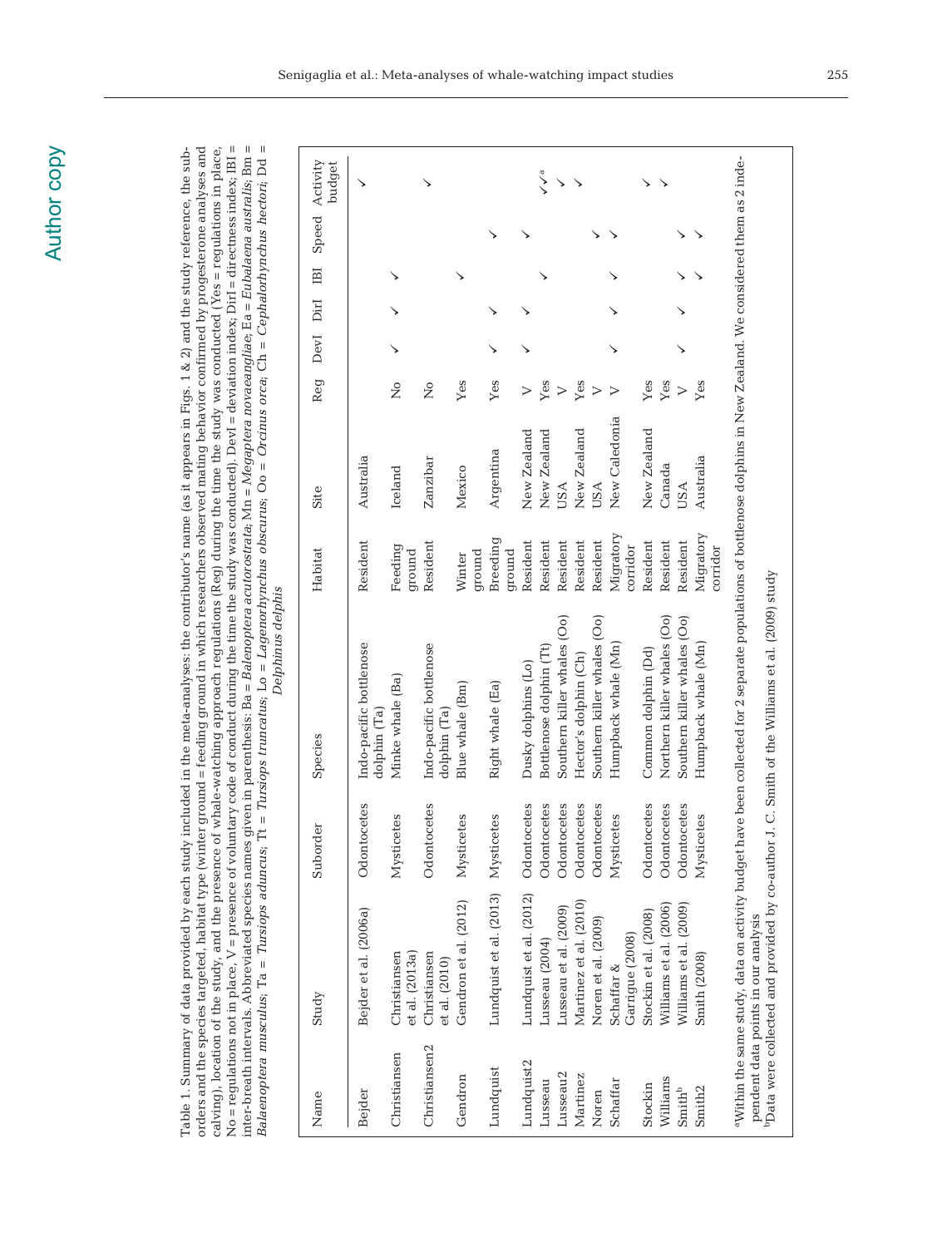No = regulations not in place,  $V$  = presence of voluntary code of conduct during the time the study was conducted). DevI = deviation index, DirI = directness index, IBI = inter-breath intervals. Abbreviated species names given in parenthesis: Ba = *Balenoptera acutorostrata*; Mn = *Megaptera novaeangliae*; Ea = *Eubalaena australis*; Bm =<br>*Balaenoptera musculus;* Ta = *Tursiops aduncus;* Tt Balaenoptera musculus; Ta = Tursiops aduncus; Tt = Tursiops truncatus; Lo = Lagenorhynchus obscurus; Oo = Orcinus orca; Ch = Cephalorhynchus hectori; Dd = orders and the species targeted, habitat type (winter ground = feeding ground in which researchers observed mating behavior confirmed by progesterone analyses and calving), location of the study, and the presence of whale-watching approach regulations (Reg) during the time the study was conducted (Yes = regulations in place, Table 1. Summary of data provided by each study included in the meta-analyses: the contributor's name (as it appears in Figs. 1 & 2) and the study reference, the suborders and the species targeted, habitat type (winter ground = feeding ground in which researchers observed mating behavior confirmed by progesterone analyses and No = regulations not in place, V = presence of voluntary code of conduct during the time the study was conducted). DevI = deviation index; DirI = directness index; IBI = inter-breath intervals. Abbreviated species names given in parenthesis: Ba = Balenoptera acutorostrata; Mn = Megaptera novaeangliae; Ea = Eubalaena australis; Bm = Table 1. Summary of data provided by each study included in the meta-analyses: the contributor's name (as it appears in Figs. 1 & 2) and the study reference, the subcalving), location of the study, and the presence of whale-watching approach regulations (Reg) during the time the study was conducted (Yes = regulations in place, Delphinus delphis Delphinus delphis

| Name                 | Study                                          | Suborder        | Species                                                                                                                                                             | Habitat               | Site          | Reg              | DevI DirI IBI |  | Speed Activity | budget         |
|----------------------|------------------------------------------------|-----------------|---------------------------------------------------------------------------------------------------------------------------------------------------------------------|-----------------------|---------------|------------------|---------------|--|----------------|----------------|
| Bejder               | Bejder et al. (2006a)                          | Odontocetes     | Indo-pacific bottlenose<br>dolphin (Ta)                                                                                                                             | Resident              | Australia     |                  |               |  |                |                |
| Christiansen         | et al. (2013a)<br>Christiansen                 | retes<br>Mystic | Minke whale (Ba)                                                                                                                                                    | Feeding<br>ground     | Iceland       | $\tilde{z}$      |               |  |                |                |
| Christiansen2        | Christiansen<br>et al. (2010)                  | Odontocetes     | Indo-pacific bottlenose<br>dolphin (Ta)                                                                                                                             | Resident              | Zanzibar      | $\tilde{z}$      |               |  |                |                |
| Gendron              | Gendron et al. (2012) Mystic                   | etes            | Blue whale (Bm)                                                                                                                                                     | ground<br>Winter      | Mexico        | Yes              |               |  |                |                |
| Lundquist            | Lundquist et al. (2013) Mysticetes             |                 | Right whale (Ea)                                                                                                                                                    | Breeding<br>ground    | Argentina     | Yes              |               |  |                |                |
| Lundquist2           | Lundquist et al. (2012)                        | Odontocetes     | Dusky dolphins (Lo)                                                                                                                                                 | Resident              | New Zealand   | >                |               |  |                |                |
| Lusseau              | Lusseau (2004)                                 | Odontocetes     | Bottlenose dolphin (Tt)                                                                                                                                             | Resident              | New Zealand   | Yes              |               |  |                | $\checkmark$ a |
| Lusseau <sub>2</sub> | Lusseau et al. (2009)                          | Odontocetes     | Southern killer whales (Oo)                                                                                                                                         | Resident              | <b>USA</b>    | $\triangleright$ |               |  |                | ↘              |
| Martinez             | Martinez et al. (2010)                         | Odontocetes     | Hector's dolphin (Ch)                                                                                                                                               | Resident              | New Zealand   | Yes              |               |  |                |                |
| Noren                | Noren et al. (2009)                            | Odontocetes     | Southern killer whales (Oo)                                                                                                                                         | Resident              | <b>USA</b>    | $\triangleright$ |               |  |                |                |
| Schaffar             | Garrigue (2008)<br>Schaffar &                  | Mysticetes      | Humpback whale (Mn)                                                                                                                                                 | Migratory<br>corridor | New Caledonia | $\triangleright$ |               |  |                |                |
| Stockin              | Stockin et al. (2008)                          | Odontocetes     | Common dolphin (Dd)                                                                                                                                                 | Resident              | New Zealand   | Yes              |               |  |                |                |
| Williams             | Williams et al. (2006)                         | Odontocetes     | Northern killer whales (Oo)                                                                                                                                         | Resident              | Canada        | Yes              |               |  |                |                |
| Smith <sup>b</sup>   | Williams et al. (2009)                         | Odontocetes     | Southern killer whales (Oo)                                                                                                                                         | Resident              | USA           | $\triangleright$ |               |  |                |                |
| Smith <sub>2</sub>   | Smith (2008)                                   | Mysticetes      | Humpback whale (Mn)                                                                                                                                                 | Migratory<br>corridor | Australia     | Yes              |               |  |                |                |
|                      | pendent data points in our analysis            |                 | "Within the same study, data on activity budget have been collected for 2 separate populations of bottlenose dolphins in New Zealand. We considered them as 2 inde- |                       |               |                  |               |  |                |                |
|                      | "Data were collected and provided by co-author |                 | J. C. Smith of the Williams et al. (2009) study                                                                                                                     |                       |               |                  |               |  |                |                |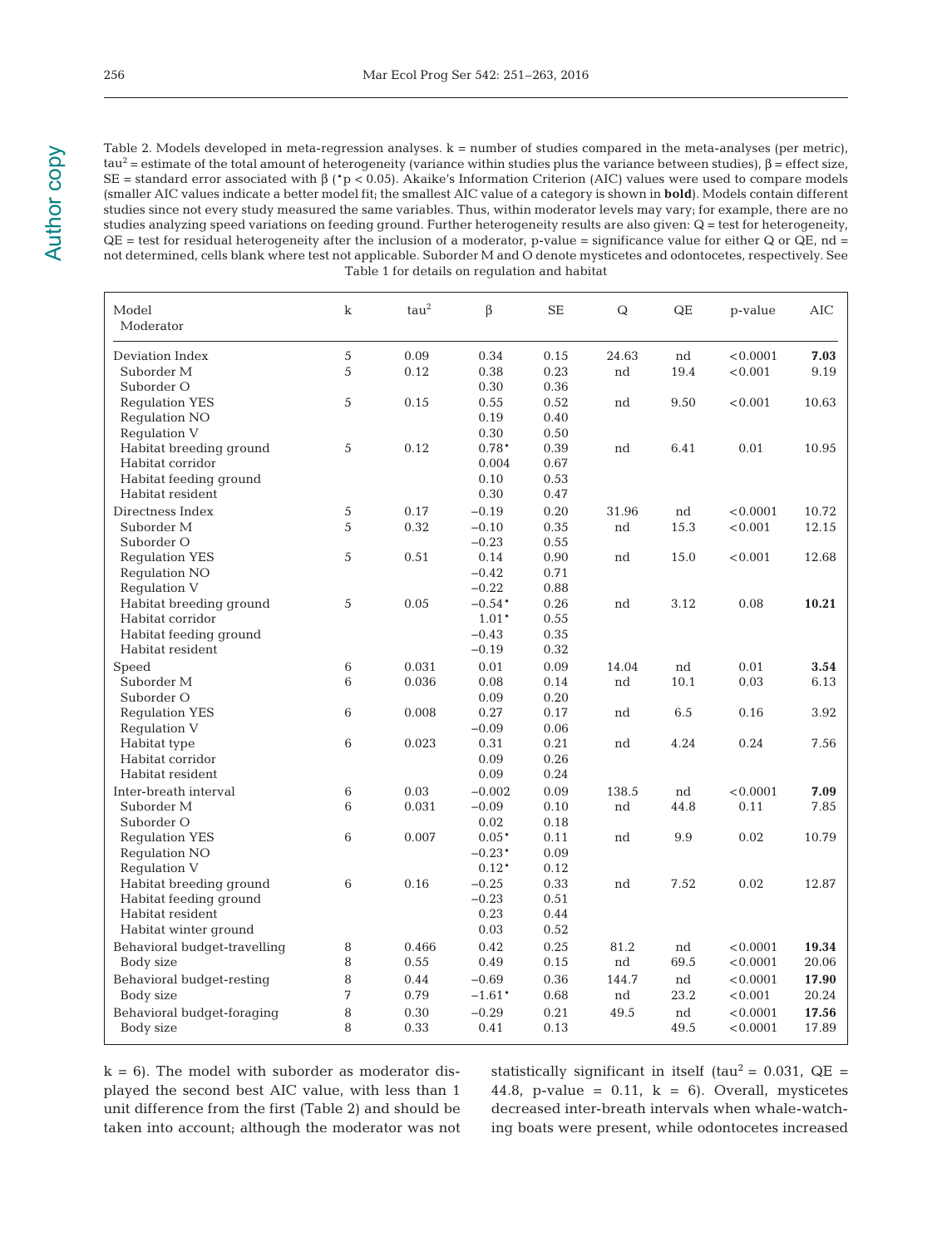Table 2. Models developed in meta-regression analyses. k = number of studies compared in the meta-analyses (per metric),  $tau^2$  = estimate of the total amount of heterogeneity (variance within studies plus the variance between studies), β = effect size, SE = standard error associated with β (\*p < 0.05). Akaike's Information Criterion (AIC) values were used to compare models (smaller AIC values indicate a better model fit; the smallest AIC value of a category is shown in **bold**). Models contain different studies since not every study measured the same variables. Thus, within moderator levels may vary; for example, there are no studies analyzing speed variations on feeding ground. Further heterogeneity results are also given: Q = test for heterogeneity,  $QE = test$  for residual heterogeneity after the inclusion of a moderator, p-value = significance value for either Q or QE, nd = not determined, cells blank where test not applicable. Suborder M and O denote mysticetes and odontocetes, respectively. See Table 1 for details on regulation and habitat

| Model<br>Moderator                                                                             | $\bf k$ | $tau^2$       | β                                         | <b>SE</b>                    | ${\bf Q}$   | QE         | p-value             | AIC            |
|------------------------------------------------------------------------------------------------|---------|---------------|-------------------------------------------|------------------------------|-------------|------------|---------------------|----------------|
| Deviation Index<br>Suborder <sub>M</sub><br>Suborder O                                         | 5<br>5  | 0.09<br>0.12  | 0.34<br>0.38<br>0.30                      | 0.15<br>0.23<br>0.36         | 24.63<br>nd | nd<br>19.4 | < 0.0001<br>< 0.001 | 7.03<br>9.19   |
| <b>Requlation YES</b><br>Regulation NO<br>Regulation V                                         | 5       | 0.15          | 0.55<br>0.19<br>0.30                      | 0.52<br>0.40<br>0.50         | nd          | 9.50       | < 0.001             | 10.63          |
| Habitat breeding ground<br>Habitat corridor<br>Habitat feeding ground<br>Habitat resident      | 5       | 0.12          | $0.78*$<br>0.004<br>0.10<br>0.30          | 0.39<br>0.67<br>0.53<br>0.47 | nd          | 6.41       | 0.01                | 10.95          |
| Directness Index<br>Suborder M<br>Suborder O                                                   | 5<br>5  | 0.17<br>0.32  | $-0.19$<br>$-0.10$<br>$-0.23$             | 0.20<br>0.35<br>0.55         | 31.96<br>nd | nd<br>15.3 | < 0.0001<br>< 0.001 | 10.72<br>12.15 |
| <b>Requlation YES</b><br>Requlation NO<br>Regulation V                                         | 5       | 0.51          | 0.14<br>$-0.42$<br>$-0.22$                | 0.90<br>0.71<br>0.88         | nd          | 15.0       | < 0.001             | 12.68          |
| Habitat breeding ground<br>Habitat corridor<br>Habitat feeding ground<br>Habitat resident      | 5       | 0.05          | $-0.54*$<br>$1.01*$<br>$-0.43$<br>$-0.19$ | 0.26<br>0.55<br>0.35<br>0.32 | nd          | 3.12       | 0.08                | 10.21          |
| Speed                                                                                          | 6       | 0.031         | 0.01                                      | 0.09                         | 14.04       | nd         | 0.01                | 3.54           |
| Suborder M<br>Suborder O                                                                       | 6       | 0.036         | 0.08<br>0.09                              | 0.14<br>0.20                 | nd          | 10.1       | 0.03                | 6.13           |
| <b>Requlation YES</b><br>Regulation V                                                          | 6       | 0.008         | 0.27<br>$-0.09$                           | 0.17<br>0.06                 | nd          | 6.5        | 0.16                | 3.92           |
| Habitat type<br>Habitat corridor<br>Habitat resident                                           | 6       | 0.023         | 0.31<br>0.09<br>0.09                      | 0.21<br>0.26<br>0.24         | nd          | 4.24       | 0.24                | 7.56           |
| Inter-breath interval<br>Suborder M<br>Suborder O                                              | 6<br>6  | 0.03<br>0.031 | $-0.002$<br>$-0.09$<br>0.02               | 0.09<br>0.10<br>0.18         | 138.5<br>nd | nd<br>44.8 | < 0.0001<br>0.11    | 7.09<br>7.85   |
| <b>Regulation YES</b><br>Regulation NO<br>Regulation V                                         | 6       | 0.007         | $0.05*$<br>$-0.23*$<br>$0.12*$            | 0.11<br>0.09<br>0.12         | nd          | 9.9        | 0.02                | 10.79          |
| Habitat breeding ground<br>Habitat feeding ground<br>Habitat resident<br>Habitat winter ground | 6       | 0.16          | $-0.25$<br>$-0.23$<br>0.23<br>0.03        | 0.33<br>0.51<br>0.44<br>0.52 | nd          | 7.52       | 0.02                | 12.87          |
| Behavioral budget-travelling                                                                   | 8       | 0.466         | 0.42                                      | 0.25                         | 81.2        | nd         | < 0.0001            | 19.34          |
| Body size                                                                                      | 8       | 0.55          | 0.49                                      | 0.15                         | nd          | 69.5       | < 0.0001            | 20.06          |
| Behavioral budget-resting                                                                      | 8       | 0.44          | $-0.69$                                   | 0.36                         | 144.7       | nd         | < 0.0001            | 17.90          |
| Body size                                                                                      | 7       | 0.79          | $-1.61*$                                  | 0.68                         | nd          | 23.2       | < 0.001             | 20.24          |
| Behavioral budget-foraging                                                                     | 8       | 0.30          | $-0.29$                                   | 0.21                         | 49.5        | nd         | < 0.0001            | 17.56          |
| Body size                                                                                      | 8       | 0.33          | 0.41                                      | 0.13                         |             | 49.5       | < 0.0001            | 17.89          |

 $k = 6$ ). The model with suborder as moderator displayed the second best AIC value, with less than 1 unit difference from the first (Table 2) and should be taken into account; although the moderator was not statistically significant in itself (tau<sup>2</sup> = 0.031,  $QE =$ 44.8, p-value =  $0.11$ , k = 6). Overall, mysticetes decreased inter-breath intervals when whale-watching boats were present, while odontocetes increased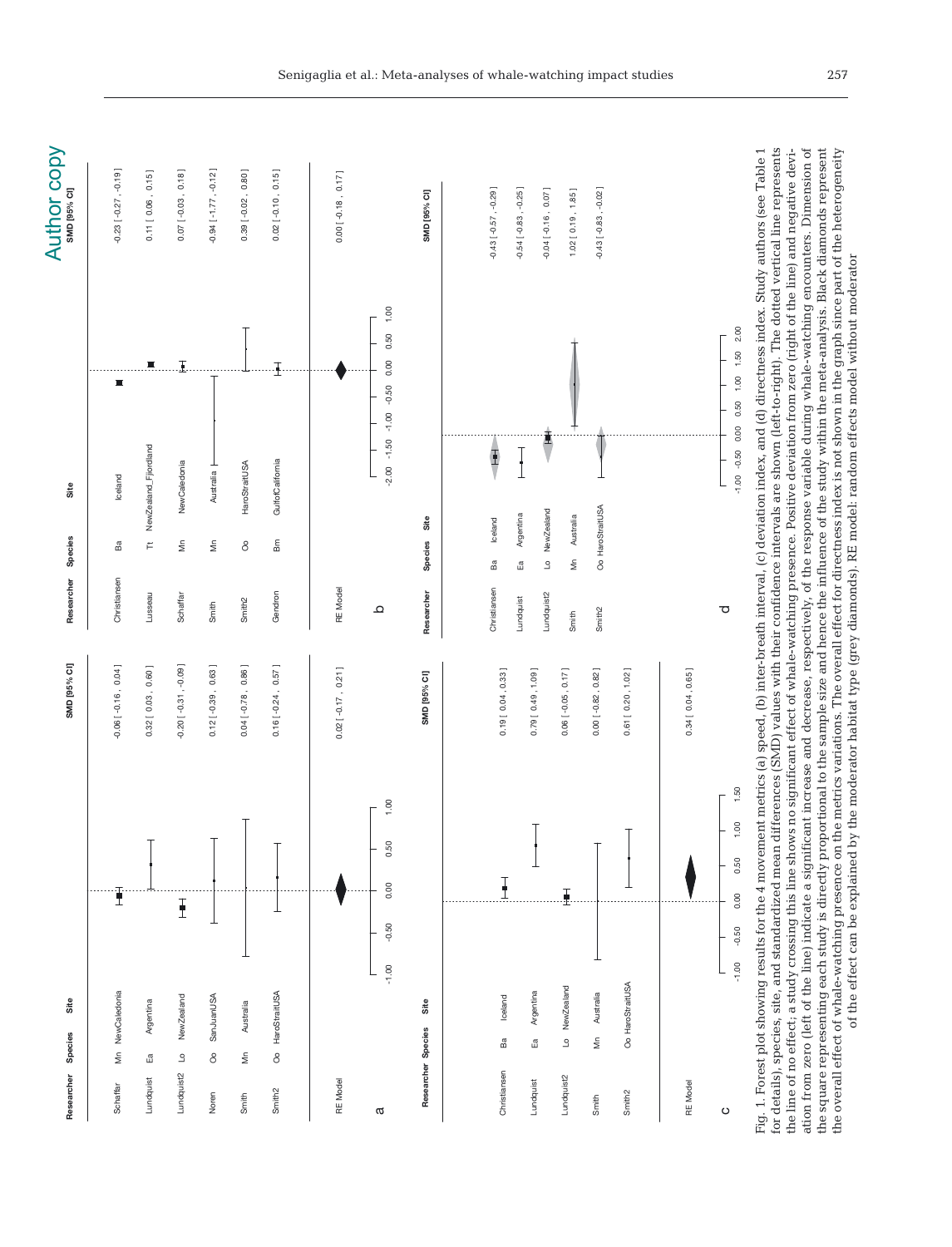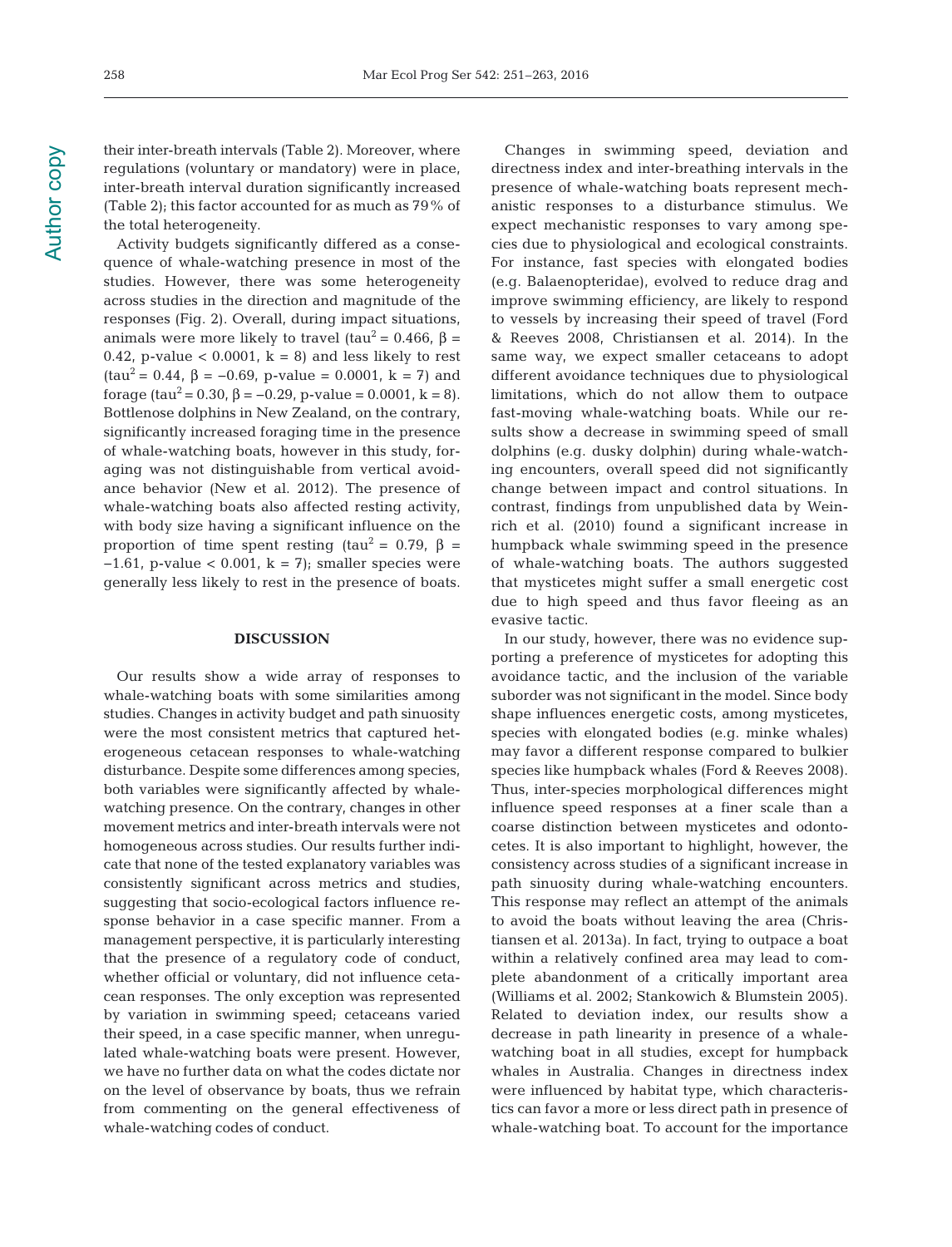Activity budgets significantly differed as a consequence of whale-watching presence in most of the studies. However, there was some heterogeneity across studies in the direction and magnitude of the responses (Fig. 2). Overall, during impact situations, animals were more likely to travel (tau<sup>2</sup> = 0.466, β = 0.42, p-value  $<$  0.0001, k = 8) and less likely to rest (tau<sup>2</sup> = 0.44,  $\beta$  = -0.69, p-value = 0.0001, k = 7) and forage (tau<sup>2</sup> = 0.30, β = -0.29, p-value = 0.0001, k = 8). Bottlenose dolphins in New Zealand, on the contrary, significantly increased foraging time in the presence of whale-watching boats, however in this study, foraging was not distinguishable from vertical avoidance behavior (New et al. 2012). The presence of whale-watching boats also affected resting activity, with body size having a significant influence on the proportion of time spent resting (tau<sup>2</sup> = 0.79,  $\beta$  =  $-1.61$ , p-value < 0.001, k = 7); smaller species were generally less likely to rest in the presence of boats.

#### **DISCUSSION**

Our results show a wide array of responses to whale-watching boats with some similarities among studies. Changes in activity budget and path sinuosity were the most consistent metrics that captured heterogeneous cetacean responses to whale-watching disturbance. Despite some differences among species, both variables were significantly affected by whalewatching presence. On the contrary, changes in other movement metrics and inter-breath intervals were not homogeneous across studies. Our results further indicate that none of the tested explanatory variables was consistently significant across metrics and studies, suggesting that socio-ecological factors influence response behavior in a case specific manner. From a management perspective, it is particularly interesting that the presence of a regulatory code of conduct, whether official or voluntary, did not influence cetacean responses. The only exception was represented by variation in swimming speed; cetaceans varied their speed, in a case specific manner, when unregulated whale-watching boats were present. However, we have no further data on what the codes dictate nor on the level of observance by boats, thus we refrain from commenting on the general effectiveness of whale-watching codes of conduct.

Changes in swimming speed, deviation and directness index and inter-breathing intervals in the presence of whale-watching boats represent mechanistic responses to a disturbance stimulus. We expect mechanistic responses to vary among species due to physiological and ecological constraints. For instance, fast species with elongated bodies (e.g. Balaenopteridae), evolved to reduce drag and improve swimming efficiency, are likely to respond to vessels by increasing their speed of travel (Ford & Reeves 2008, Christiansen et al. 2014). In the same way, we expect smaller cetaceans to adopt different avoidance techniques due to physiological limitations, which do not allow them to outpace fast-moving whale-watching boats. While our results show a decrease in swimming speed of small dolphins (e.g. dusky dolphin) during whale-watching encounters, overall speed did not significantly change between impact and control situations. In contrast, findings from unpublished data by Weinrich et al. (2010) found a significant increase in humpback whale swimming speed in the presence of whale-watching boats. The authors suggested that mysticetes might suffer a small energetic cost due to high speed and thus favor fleeing as an evasive tactic.

In our study, however, there was no evidence supporting a preference of mysticetes for adopting this avoidance tactic, and the inclusion of the variable suborder was not significant in the model. Since body shape influences energetic costs, among mysticetes, species with elongated bodies (e.g. minke whales) may favor a different response compared to bulkier species like humpback whales (Ford & Reeves 2008). Thus, inter-species morphological differences might influence speed responses at a finer scale than a coarse distinction between mysticetes and odontocetes. It is also important to highlight, however, the consistency across studies of a significant increase in path sinuosity during whale-watching encounters. This response may reflect an attempt of the animals to avoid the boats without leaving the area (Christiansen et al. 2013a). In fact, trying to outpace a boat within a relatively confined area may lead to complete abandonment of a critically important area (Williams et al. 2002; Stankowich & Blumstein 2005). Related to deviation index, our results show a decrease in path linearity in presence of a whalewatching boat in all studies, except for humpback whales in Australia. Changes in directness index were influenced by habitat type, which characteristics can favor a more or less direct path in presence of whale-watching boat. To account for the importance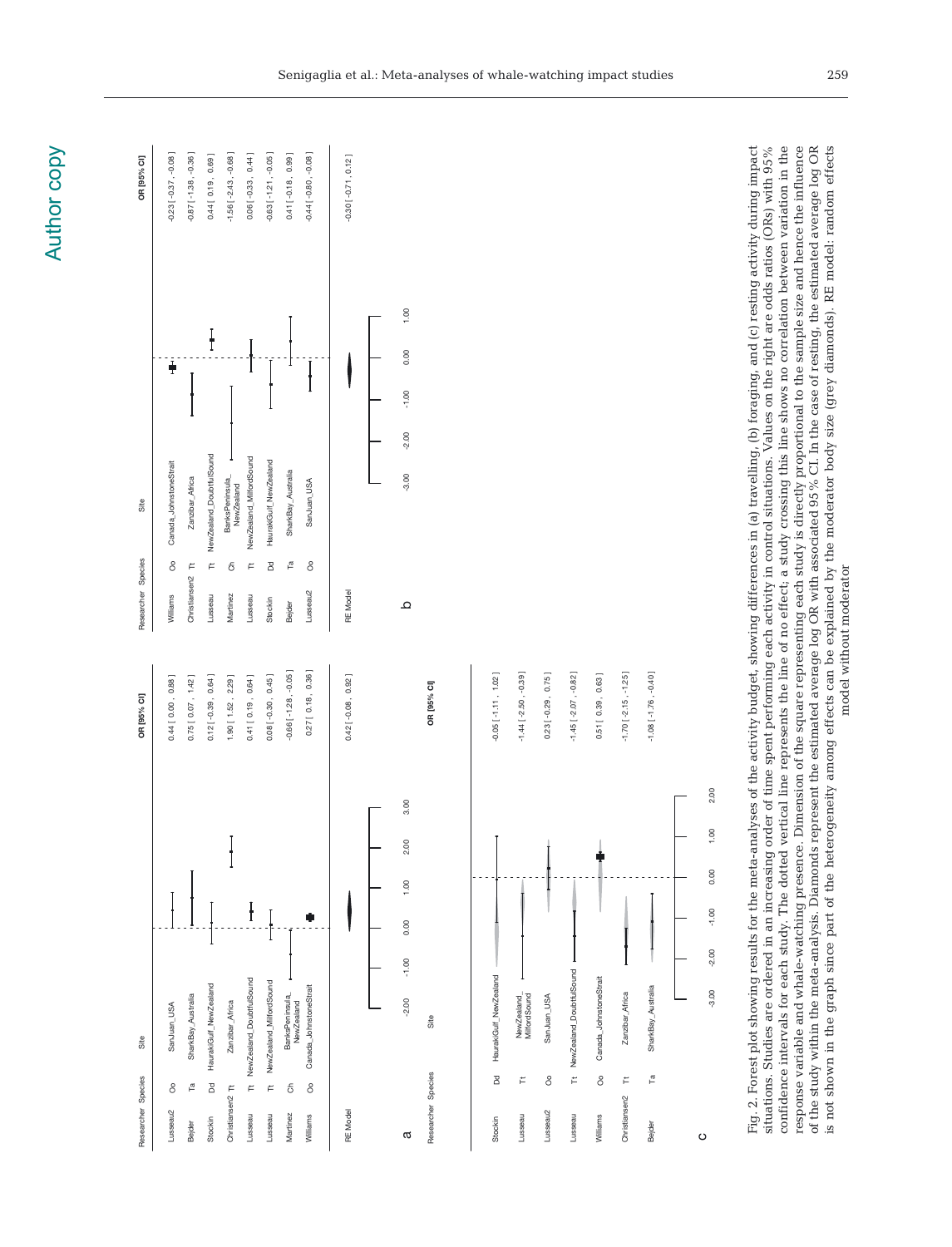| Site<br>Researcher Species                                                                            | OR [95% CI]                                       | OR [95% CI]<br>Site<br>Species<br>Researcher                                                                                                                                                                                                                                                                                                                                                                                                                                                                                                                                                                                                                                                                                                                                                                                                                                                                                                                                                        |
|-------------------------------------------------------------------------------------------------------|---------------------------------------------------|-----------------------------------------------------------------------------------------------------------------------------------------------------------------------------------------------------------------------------------------------------------------------------------------------------------------------------------------------------------------------------------------------------------------------------------------------------------------------------------------------------------------------------------------------------------------------------------------------------------------------------------------------------------------------------------------------------------------------------------------------------------------------------------------------------------------------------------------------------------------------------------------------------------------------------------------------------------------------------------------------------|
| SanJuan_USA<br>å<br>Lusseau2                                                                          | $0.44$ [ $0.00$ , $0.88$ ]                        | $-0.23$ [ $-0.37$ , $-0.08$ ]<br>Canada_JohnstoneStrait<br>8<br>Williams                                                                                                                                                                                                                                                                                                                                                                                                                                                                                                                                                                                                                                                                                                                                                                                                                                                                                                                            |
| HaurakiGulf_NewZealand<br>SharkBay_Australia<br>$\mathbb{F}_{\mathfrak{a}}$<br>B<br>Stockin<br>Bejder | $0.12[-0.39, 0.64]$<br>$0.75$ [ $0.07$ , $1.42$ ] | $-0.87$ [ $-1.38$ , $-0.36$ ]<br>0.44 [ 0.19 , 0.69 ]<br>NewZealand_DoubtfulSound<br>Zanzibar_Africa<br>Ë<br>$\tilde{\vdash}$<br>Christiansen <sub>2</sub><br>Lusseau                                                                                                                                                                                                                                                                                                                                                                                                                                                                                                                                                                                                                                                                                                                                                                                                                               |
| Zanzibar_Africa<br>Christiansen <sub>2</sub> Tt                                                       | $1.90$ [ $1.52$ , $2.29$ ]                        | $-1.56[-2.43,-0.68]$<br>BanksPeninsula<br>ర్<br>Martinez                                                                                                                                                                                                                                                                                                                                                                                                                                                                                                                                                                                                                                                                                                                                                                                                                                                                                                                                            |
| NewZealand_DoubtfulSound<br>$\overline{r}$<br>Lusseau                                                 | 0.41 [ 0.19 , 0.64 ]                              | $0.06$ [ $-0.33$ , $0.44$ ]<br>NewZealand_MilfordSound<br>NewZealand<br>Ë<br>Lusseau                                                                                                                                                                                                                                                                                                                                                                                                                                                                                                                                                                                                                                                                                                                                                                                                                                                                                                                |
| NewZealand_MilfordSound<br>Ë<br>Lusseau                                                               | $0.08[-0.30, 0.45]$                               | $-0.63$ [ $-1.21$ , $-0.05$ ]<br>HaurakiGulf_NewZealand<br>B<br>Stockin                                                                                                                                                                                                                                                                                                                                                                                                                                                                                                                                                                                                                                                                                                                                                                                                                                                                                                                             |
| BanksPeninsula<br>NewZealand<br>$\epsilon$<br>Martinez                                                | $-0.66$ [ $-1.28$ , $-0.05$ ]                     | $0.41$ [ $-0.18$ , $0.99$ ]<br>SharkBay_Australia<br>۳a<br>Bejder                                                                                                                                                                                                                                                                                                                                                                                                                                                                                                                                                                                                                                                                                                                                                                                                                                                                                                                                   |
| Ť<br>Canada_JohnstoneStrait<br>å<br>Williams                                                          | 0.27 [ 0.18, 0.36 ]                               | $-0.44$ [ $-0.80$ , $-0.08$ ]<br>SanJuan_USA<br>8<br>Lusseau2                                                                                                                                                                                                                                                                                                                                                                                                                                                                                                                                                                                                                                                                                                                                                                                                                                                                                                                                       |
| RE Model                                                                                              | $0.42[-0.08, 0.92]$                               | $-0.30$ [ $-0.71$ , $0.12$ ]<br>RE Model                                                                                                                                                                                                                                                                                                                                                                                                                                                                                                                                                                                                                                                                                                                                                                                                                                                                                                                                                            |
|                                                                                                       |                                                   |                                                                                                                                                                                                                                                                                                                                                                                                                                                                                                                                                                                                                                                                                                                                                                                                                                                                                                                                                                                                     |
| 2.00<br>1.00<br>0.00<br>$-1.00$<br>$-2.00$<br>a                                                       | 3.00                                              | 1.00<br>0.00<br>$-1.00$<br>$-2.00$<br>$-3.00$<br>≏                                                                                                                                                                                                                                                                                                                                                                                                                                                                                                                                                                                                                                                                                                                                                                                                                                                                                                                                                  |
| Site<br>Researcher Species                                                                            | OR [95% CI]                                       |                                                                                                                                                                                                                                                                                                                                                                                                                                                                                                                                                                                                                                                                                                                                                                                                                                                                                                                                                                                                     |
|                                                                                                       |                                                   |                                                                                                                                                                                                                                                                                                                                                                                                                                                                                                                                                                                                                                                                                                                                                                                                                                                                                                                                                                                                     |
| HaurakiGulf_NewZealand<br>B<br>Stockin                                                                | $-0.05[-1.11, 1.02]$                              |                                                                                                                                                                                                                                                                                                                                                                                                                                                                                                                                                                                                                                                                                                                                                                                                                                                                                                                                                                                                     |
| NewZealand_<br>MilfordSound<br>Ë<br>Lusseau                                                           | $-1.44$ [ $-2.50$ , $-0.39$ ]                     |                                                                                                                                                                                                                                                                                                                                                                                                                                                                                                                                                                                                                                                                                                                                                                                                                                                                                                                                                                                                     |
| SanJuan_USA<br>å<br>Lusseau2                                                                          | $0.23[-0.29, 0.75]$                               |                                                                                                                                                                                                                                                                                                                                                                                                                                                                                                                                                                                                                                                                                                                                                                                                                                                                                                                                                                                                     |
| NewZealand_DoubtfulSound<br>$\approx$<br>Lusseau                                                      | $-1.45[-2.07, -0.82]$                             |                                                                                                                                                                                                                                                                                                                                                                                                                                                                                                                                                                                                                                                                                                                                                                                                                                                                                                                                                                                                     |
| Canada_JohnstoneStrait<br>$\rm ^{\circ}$<br>Williams                                                  | $0.51$ [ $0.39$ , $0.63$ ]                        |                                                                                                                                                                                                                                                                                                                                                                                                                                                                                                                                                                                                                                                                                                                                                                                                                                                                                                                                                                                                     |
| Zanzibar_Africa<br>Ë<br>Christiansen <sub>2</sub>                                                     | $-1.70[-2.15, -1.25]$                             |                                                                                                                                                                                                                                                                                                                                                                                                                                                                                                                                                                                                                                                                                                                                                                                                                                                                                                                                                                                                     |
| SharkBay_Australia<br>۳a<br>Bejder                                                                    | $-1.08$ [ $-1.76$ , $-0.40$ ]                     |                                                                                                                                                                                                                                                                                                                                                                                                                                                                                                                                                                                                                                                                                                                                                                                                                                                                                                                                                                                                     |
|                                                                                                       |                                                   |                                                                                                                                                                                                                                                                                                                                                                                                                                                                                                                                                                                                                                                                                                                                                                                                                                                                                                                                                                                                     |
| 1.00<br>0.00<br>$-1.00$<br>$-2.00$<br>$-3.00$<br>ပ                                                    | 2.00                                              |                                                                                                                                                                                                                                                                                                                                                                                                                                                                                                                                                                                                                                                                                                                                                                                                                                                                                                                                                                                                     |
| response variable and whale-watching presence.                                                        |                                                   | confidence intervals for each study. The dotted vertical line represents the line of no effect; a study crossing this line shows no correlation between variation in the<br>Fig. 2. Forest plot showing results for the meta-analyses of the activity budget, showing differences in (a) travelling, (b) foraging, and (c) resting activity during impact<br>Dimension of the square representing each study is directly proportional to the sample size and hence the influence<br>of the study within the meta-analysis. Diamonds represent the estimated average log OR with associated 95% CI. In the case of resting, the estimated average log OR<br>situations. Studies are ordered in an increasing order of time spent performing each activity in control situations. Values on the right are odds ratios (ORs) with 95%<br>is not shown in the graph since part of the heterogeneity among effects can be explained by the moderator body size (grey diamonds). RE model: random effects |
|                                                                                                       |                                                   | model without moderator                                                                                                                                                                                                                                                                                                                                                                                                                                                                                                                                                                                                                                                                                                                                                                                                                                                                                                                                                                             |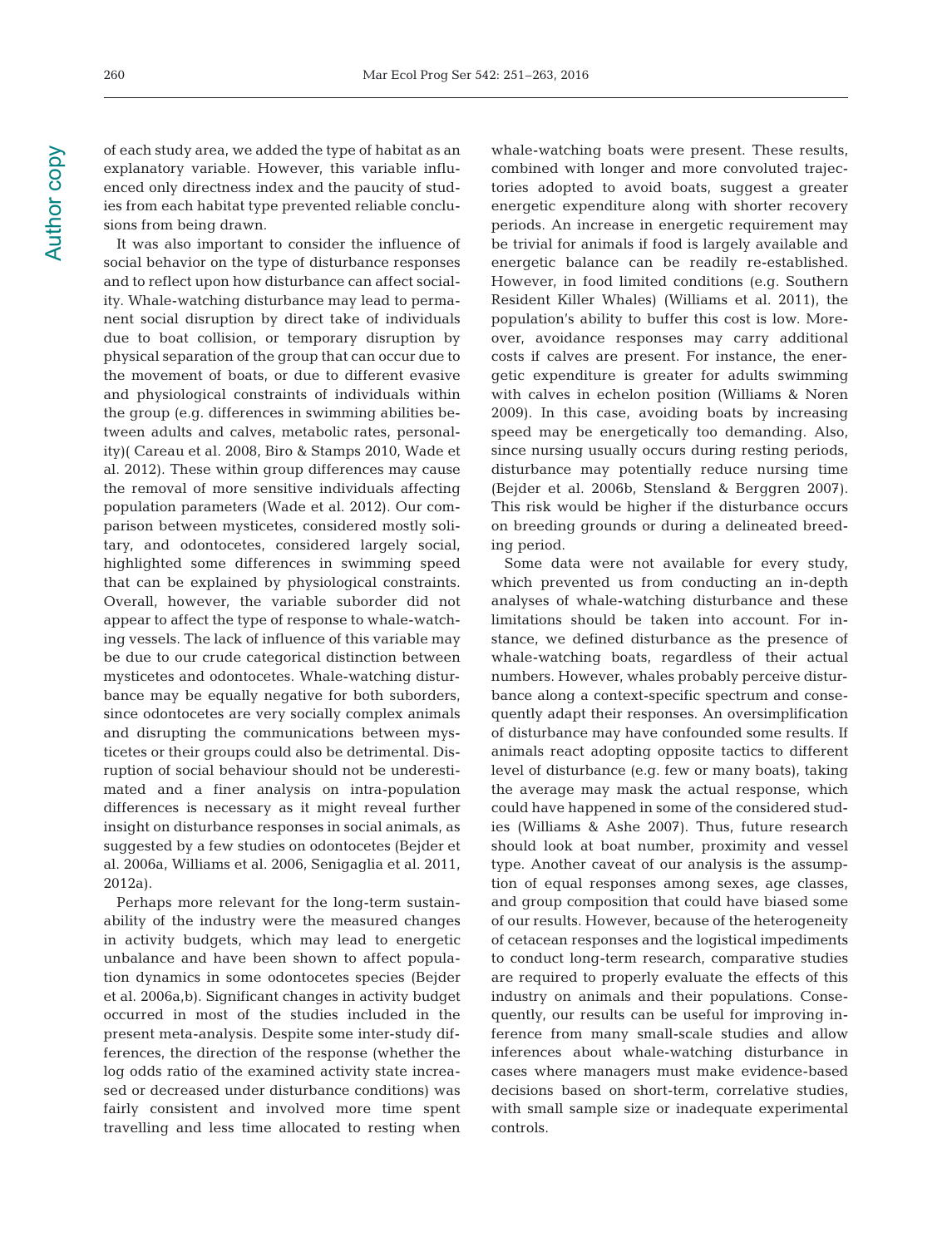of each study area, we added the type of habitat as an explanatory variable. However, this variable influenced only directness index and the paucity of studies from each habitat type prevented reliable conclusions from being drawn.

It was also important to consider the influence of social behavior on the type of disturbance responses and to reflect upon how disturbance can affect sociality. Whale-watching disturbance may lead to permanent social disruption by direct take of individuals due to boat collision, or temporary disruption by physical separation of the group that can occur due to the movement of boats, or due to different evasive and physiological constraints of individuals within the group (e.g. differences in swimming abilities be tween adults and calves, metabolic rates, personality)( Careau et al. 2008, Biro & Stamps 2010, Wade et al. 2012). These within group differences may cause the removal of more sensitive individuals affecting population parameters (Wade et al. 2012). Our comparison between mysticetes, considered mostly solitary, and odontocetes, considered largely social, highlighted some differences in swimming speed that can be explained by physiological constraints. Overall, however, the variable suborder did not appear to affect the type of response to whale-watching vessels. The lack of influence of this variable may be due to our crude categorical distinction between mysticetes and odontocetes. Whale-watching disturbance may be equally negative for both suborders, since odontocetes are very socially complex animals and disrupting the communications between mysticetes or their groups could also be detrimental. Disruption of social behaviour should not be underestimated and a finer analysis on intra-population differences is necessary as it might reveal further insight on disturbance responses in social animals, as suggested by a few studies on odontocetes (Bejder et al. 2006a, Williams et al. 2006, Senigaglia et al. 2011, 2012a).

Perhaps more relevant for the long-term sustainability of the industry were the measured changes in activity budgets, which may lead to energetic unbalance and have been shown to affect population dynamics in some odontocetes species (Bejder et al. 2006a,b). Significant changes in activity budget occurred in most of the studies included in the present meta-analysis. Despite some inter-study differences, the direction of the response (whether the log odds ratio of the examined activity state increased or decreased under disturbance conditions) was fairly consistent and involved more time spent travelling and less time allocated to resting when

whale-watching boats were present. These results, combined with longer and more convoluted trajectories adopted to avoid boats, suggest a greater energetic expenditure along with shorter recovery periods. An increase in energetic requirement may be trivial for animals if food is largely available and energetic balance can be readily re-established. However, in food limited conditions (e.g. Southern Resident Killer Whales) (Williams et al. 2011), the population's ability to buffer this cost is low. Moreover, avoidance responses may carry additional costs if calves are present. For instance, the energetic expenditure is greater for adults swimming with calves in echelon position (Williams & Noren 2009). In this case, avoiding boats by increasing speed may be energetically too demanding. Also, since nursing usually occurs during resting periods, disturbance may potentially reduce nursing time (Bejder et al. 2006b, Stensland & Berggren 2007). This risk would be higher if the disturbance occurs on breeding grounds or during a delineated breeding period.

Some data were not available for every study, which prevented us from conducting an in-depth analyses of whale-watching disturbance and these limitations should be taken into account. For instance, we defined disturbance as the presence of whale-watching boats, regardless of their actual numbers. However, whales probably perceive disturbance along a context-specific spectrum and consequently adapt their responses. An oversimplification of disturbance may have confounded some results. If animals react adopting opposite tactics to different level of disturbance (e.g. few or many boats), taking the average may mask the actual response, which could have happened in some of the considered studies (Williams & Ashe 2007). Thus, future research should look at boat number, proximity and vessel type. Another caveat of our analysis is the assumption of equal responses among sexes, age classes, and group composition that could have biased some of our results. However, because of the heterogeneity of cetacean responses and the logistical impediments to conduct long-term research, comparative studies are required to properly evaluate the effects of this industry on animals and their populations. Consequently, our results can be useful for improving inference from many small-scale studies and allow inferences about whale-watching disturbance in cases where managers must make evidence-based decisions based on short-term, correlative studies, with small sample size or inadequate experimental controls.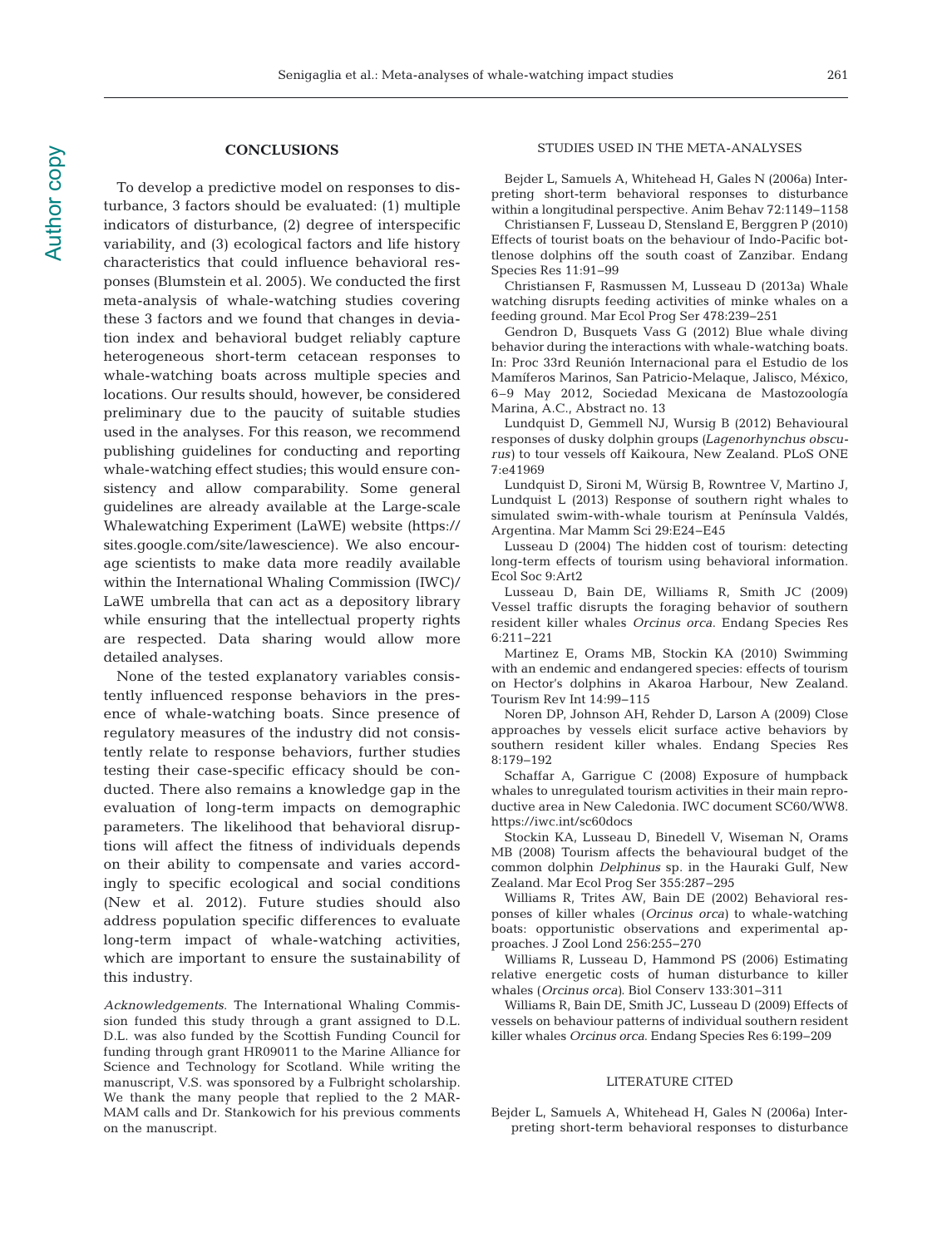## **CONCLUSIONS**

To develop a predictive model on responses to disturbance, 3 factors should be evaluated: (1) multiple indicators of disturbance, (2) degree of interspecific variability, and (3) ecological factors and life history characteristics that could influence behavioral responses (Blumstein et al. 2005). We conducted the first meta-analysis of whale-watching studies covering these 3 factors and we found that changes in deviation index and behavioral budget reliably capture heterogeneous short-term cetacean responses to whale-watching boats across multiple species and locations. Our results should, however, be considered preliminary due to the paucity of suitable studies used in the analyses. For this reason, we recommend publishing guidelines for conducting and reporting whale-watching effect studies; this would ensure consistency and allow comparability. Some general guidelines are already available at the Large-scale Whalewatching Experiment (LaWE) website (https:// sites.google.com/site/lawescience). We also encourage scientists to make data more readily available within the International Whaling Commission (IWC)/ LaWE umbrella that can act as a depository library while ensuring that the intellectual property rights are respected. Data sharing would allow more detailed analyses.

None of the tested explanatory variables consistently influenced response behaviors in the presence of whale-watching boats. Since presence of regulatory measures of the industry did not consistently relate to response behaviors, further studies testing their case-specific efficacy should be conducted. There also remains a knowledge gap in the evaluation of long-term impacts on demographic parameters. The likelihood that behavioral disruptions will affect the fitness of individuals depends on their ability to compensate and varies accordingly to specific ecological and social conditions (New et al. 2012). Future studies should also address population specific differences to evaluate long-term impact of whale-watching activities, which are important to ensure the sustainability of this industry.

Acknowledgements. The International Whaling Commission funded this study through a grant assigned to D.L. D.L. was also funded by the Scottish Funding Council for funding through grant HR09011 to the Marine Alliance for Science and Technology for Scotland. While writing the manuscript, V.S. was sponsored by a Fulbright scholarship. We thank the many people that replied to the 2 MAR-MAM calls and Dr. Stankowich for his previous comments on the manuscript.

#### STUDIES USED IN THE META-ANALYSES

Bejder L, Samuels A, Whitehead H, Gales N (2006a) Interpreting short-term behavioral responses to disturbance within a longitudinal perspective. Anim Behav 72: 1149−1158

Christiansen F, Lusseau D, Stensland E, Berggren P (2010) Effects of tourist boats on the behaviour of Indo-Pacific bottlenose dolphins off the south coast of Zanzibar. Endang Species Res 11:91−99

Christiansen F, Rasmussen M, Lusseau D (2013a) Whale watching disrupts feeding activities of minke whales on a feeding ground. Mar Ecol Prog Ser 478:239-251

Gendron D, Busquets Vass G (2012) Blue whale diving behavior during the interactions with whale-watching boats. In: Proc 33rd Reunión Internacional para el Estudio de los Mamíferos Marinos, San Patricio-Melaque, Jalisco, México, 6–9 May 2012, Sociedad Mexicana de Mastozoología Marina, A.C., Abstract no. 13

Lundquist D, Gemmell NJ, Wursig B (2012) Behavioural responses of dusky dolphin groups (Lagenorhynchus obscurus) to tour vessels off Kaikoura, New Zealand. PLoS ONE 7:e41969

Lundquist D, Sironi M, Würsig B, Rowntree V, Martino J, Lundquist L (2013) Response of southern right whales to simulated swim-with-whale tourism at Península Valdés, Argentina. Mar Mamm Sci 29:E24−E45

Lusseau D (2004) The hidden cost of tourism: detecting long-term effects of tourism using behavioral information. Ecol Soc 9:Art2

Lusseau D, Bain DE, Williams R, Smith JC (2009) Vessel traffic disrupts the foraging behavior of southern resident killer whales Orcinus orca. Endang Species Res 6: 211−221

Martinez E, Orams MB, Stockin KA (2010) Swimming with an endemic and endangered species: effects of tourism on Hector's dolphins in Akaroa Harbour, New Zealand. Tourism Rev Int 14:99−115

Noren DP, Johnson AH, Rehder D, Larson A (2009) Close approaches by vessels elicit surface active behaviors by southern resident killer whales. Endang Species Res 8:179−192

Schaffar A, Garrigue C (2008) Exposure of humpback whales to unregulated tourism activities in their main reproductive area in New Caledonia. IWC document SC60/WW8. https://iwc.int/sc60docs

Stockin KA, Lusseau D, Binedell V, Wiseman N, Orams MB (2008) Tourism affects the behavioural budget of the common dolphin Delphinus sp. in the Hauraki Gulf, New Zealand. Mar Ecol Prog Ser 355:287−295

Williams R, Trites AW, Bain DE (2002) Behavioral responses of killer whales (Orcinus orca) to whale-watching boats: opportunistic observations and experimental approaches. J Zool Lond 256:255−270

Williams R, Lusseau D, Hammond PS (2006) Estimating relative energetic costs of human disturbance to killer whales (Orcinus orca). Biol Conserv 133:301−311

Williams R, Bain DE, Smith JC, Lusseau D (2009) Effects of vessels on behaviour patterns of individual southern resident killer whales Orcinus orca. Endang Species Res 6:199−209

#### LITERATURE CITED

[Bejder L, Samuels A, Whitehead H, Gales N \(2006a\) Inter](http://dx.doi.org/10.1016/j.anbehav.2006.04.003)preting short-term behavioral responses to disturbance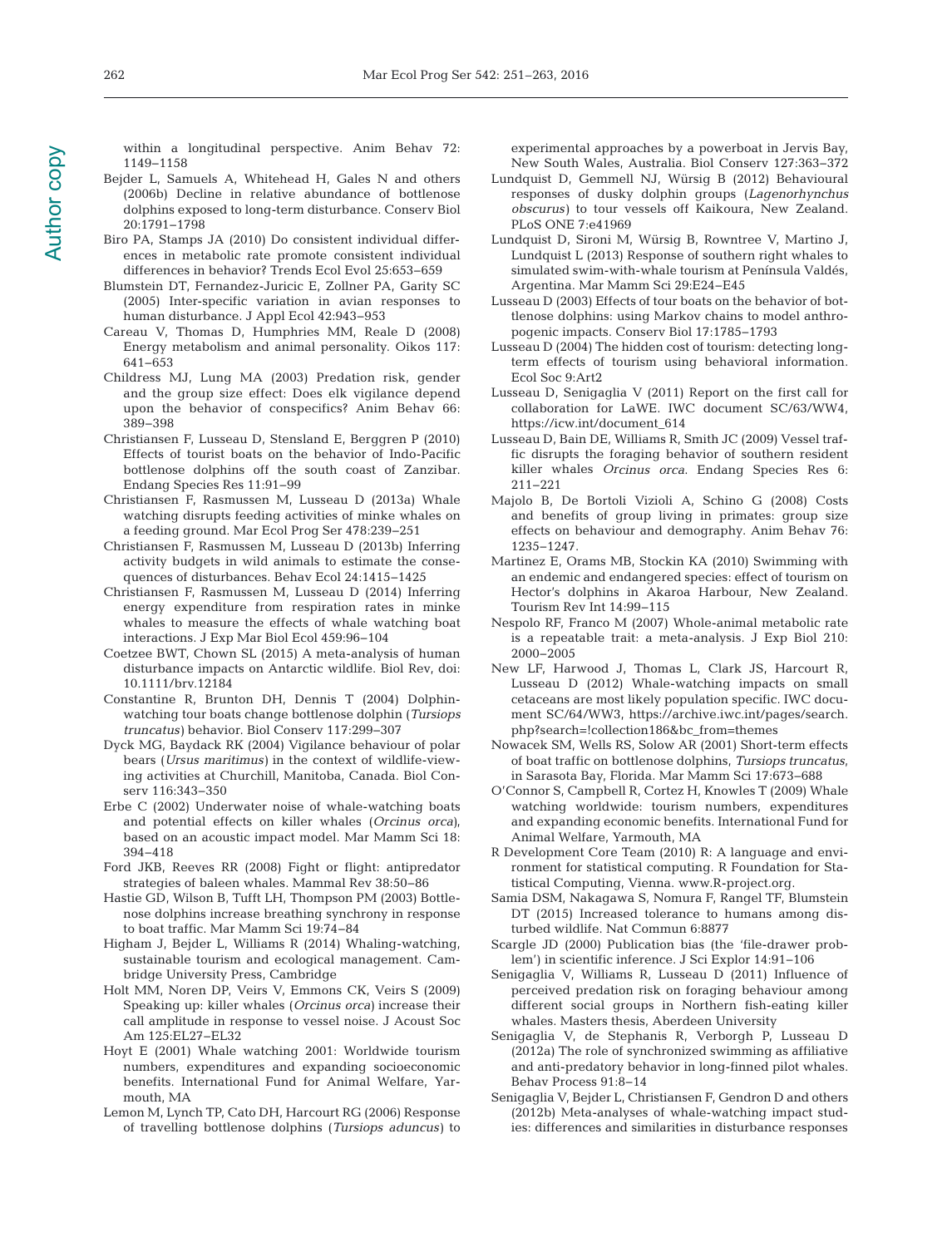within a longitudinal perspective. Anim Behav 72: 1149−1158

- [Bejder L, Samuels A, Whitehead H, Gales N and others](http://dx.doi.org/10.1111/j.1523-1739.2006.00540.x) (2006b) Decline in relative abundance of bottlenose dolphins exposed to long-term disturbance. Conserv Biol 20: 1791−1798
- [Biro PA, Stamps JA \(2010\) Do consistent individual differ](http://dx.doi.org/10.1016/j.tree.2010.08.003)ences in metabolic rate promote consistent individual differences in behavior? Trends Ecol Evol 25:653-659
- [Blumstein DT, Fernandez-Juricic E, Zollner PA, Garity SC](http://dx.doi.org/10.1111/j.1365-2664.2005.01071.x) (2005) Inter-specific variation in avian responses to human disturbance. J Appl Ecol 42:943-953
- [Careau V, Thomas D, Humphries MM, Reale D \(2008\)](http://dx.doi.org/10.1111/j.0030-1299.2008.16513.x) Energy metabolism and animal personality. Oikos 117: 641−653
- [Childress MJ, Lung MA \(2003\) Predation risk, gender](http://dx.doi.org/10.1006/anbe.2003.2217) and the group size effect: Does elk vigilance depend upon the behavior of conspecifics? Anim Behav 66: 389−398
- [Christiansen F, Lusseau D, Stensland E, Berggren P \(2010\)](http://dx.doi.org/10.3354/esr00265) Effects of tourist boats on the behavior of Indo-Pacific bottlenose dolphins off the south coast of Zanzibar. Endang Species Res 11: 91−99
- [Christiansen F, Rasmussen M, Lusseau D \(2013a\) Whale](http://dx.doi.org/10.3354/meps10163) watching disrupts feeding activities of minke whales on a feeding ground. Mar Ecol Prog Ser 478: 239−251
- [Christiansen F, Rasmussen M, Lusseau D \(2013b\) Inferring](http://dx.doi.org/10.1093/beheco/art086) activity budgets in wild animals to estimate the consequences of disturbances. Behav Ecol 24:1415−1425
- [Christiansen F, Rasmussen M, Lusseau D \(2014\) Inferring](http://dx.doi.org/10.1016/j.jembe.2014.05.014) energy expenditure from respiration rates in minke whales to measure the effects of whale watching boat interactions. J Exp Mar Biol Ecol 459: 96−104
- [Coetzee BWT, Chown SL \(2015\) A meta-analysis of human](http://dx.doi.org/10.1111/brv.12184) disturbance impacts on Antarctic wildlife. Biol Rev, doi: 10.1111/brv.12184
- [Constantine R, Brunton DH, Dennis T \(2004\) Dolphin](http://dx.doi.org/10.1016/j.biocon.2003.12.009)watching tour boats change bottlenose dolphin (Tursiops truncatus) behavior. Biol Conserv 117:299-307
- [Dyck MG, Baydack RK \(2004\) Vigilance behaviour of polar](http://dx.doi.org/10.1016/S0006-3207(03)00204-0) bears (Ursus maritimus) in the context of wildlife-viewing activities at Churchill, Manitoba, Canada. Biol Conserv 116:343-350
- [Erbe C \(2002\) Underwater noise of whale-watching boats](http://dx.doi.org/10.1111/j.1748-7692.2002.tb01045.x) and potential effects on killer whales (Orcinus orca), based on an acoustic impact model. Mar Mamm Sci 18: 394−418
- [Ford JKB, Reeves RR \(2008\) Fight or flight: antipredator](http://dx.doi.org/10.1111/j.1365-2907.2008.00118.x) strategies of baleen whales. Mammal Rev 38:50-86
- [Hastie GD, Wilson B, Tufft LH, Thompson PM \(2003\) Bottle](http://dx.doi.org/10.1111/j.1748-7692.2003.tb01093.x)nose dolphins increase breathing synchrony in response to boat traffic. Mar Mamm Sci 19:74-84
- Higham J, Bejder L, Williams R (2014) Whaling-watching, sustainable tourism and ecological management. Cambridge University Press, Cambridge
- [Holt MM, Noren DP, Veirs V, Emmons CK, Veirs S \(2009\)](http://dx.doi.org/10.1121/1.2939125) Speaking up: killer whales (Orcinus orca) increase their call amplitude in response to vessel noise. J Acoust Soc Am 125: EL27-EL32
- Hoyt E (2001) Whale watching 2001: Worldwide tourism numbers, expenditures and expanding socioeconomic benefits. International Fund for Animal Welfare, Yar mouth, MA
- [Lemon M, Lynch TP, Cato DH, Harcourt RG \(2006\) Response](http://dx.doi.org/10.1016/j.biocon.2005.08.016) of travelling bottlenose dolphins (Tursiops aduncus) to

experimental approaches by a powerboat in Jervis Bay, New South Wales, Australia. Biol Conserv 127:363-372

- [Lundquist D, Gemmell NJ, Würsig B \(2012\) Behavioural](http://dx.doi.org/10.1371/journal.pone.0041969) responses of dusky dolphin groups (Lagenorhynchus obscurus) to tour vessels off Kaikoura, New Zealand. PLoS ONE 7:e41969
- [Lundquist D, Sironi M, Würsig B, Rowntree V, Martino J,](http://dx.doi.org/10.1111/j.1748-7692.2012.00583.x) Lundquist L (2013) Response of southern right whales to simulated swim-with-whale tourism at Península Valdés, Argentina. Mar Mamm Sci 29:E24-E45
- [Lusseau D \(2003\) Effects of tour boats on the behavior of bot](http://dx.doi.org/10.1111/j.1523-1739.2003.00054.x)tlenose dolphins: using Markov chains to model anthropogenic impacts. Conserv Biol 17: 1785−1793
- Lusseau D (2004) The hidden cost of tourism: detecting longterm effects of tourism using behavioral information. Ecol Soc 9: Art2
- Lusseau D, Senigaglia V (2011) Report on the first call for collaboration for LaWE. IWC document SC/63/WW4, https://icw.int/document\_614
- [Lusseau D, Bain DE, Williams R, Smith JC \(2009\) Vessel traf](http://dx.doi.org/10.3354/esr00154)fic disrupts the foraging behavior of southern resident killer whales Orcinus orca. Endang Species Res 6: 211−221
- [Majolo B, De Bortoli Vizioli A, Schino G \(2008\) Costs](http://dx.doi.org/10.1016/j.anbehav.2008.06.008) and benefits of group living in primates: group size effects on behaviour and demography. Anim Behav 76: 1235−1247.
- [Martinez E, Orams MB, Stockin KA \(2010\) Swimming with](http://dx.doi.org/10.3727/154427211X13044361606379) an endemic and endangered species: effect of tourism on Hector's dolphins in Akaroa Harbour, New Zealand. Tourism Rev Int 14:99-115
- [Nespolo RF, Franco M \(2007\) Whole-animal metabolic rate](http://dx.doi.org/10.1242/jeb.02780) is a repeatable trait: a meta-analysis. J Exp Biol 210: 2000−2005
- New LF, Harwood J, Thomas L, Clark JS, Harcourt R, Lusseau D (2012) Whale-watching impacts on small cetaceans are most likely population specific. IWC document SC/64/WW3, https://archive.iwc.int/pages/search. php?search=!collection186&bc\_from=themes
- [Nowacek SM, Wells RS, Solow AR \(2001\) Short-term effects](http://dx.doi.org/10.1111/j.1748-7692.2001.tb01292.x) of boat traffic on bottlenose dolphins, Tursiops truncatus, in Sarasota Bay, Florida. Mar Mamm Sci 17: 673−688
- O'Connor S, Campbell R, Cortez H, Knowles T (2009) Whale watching worldwide: tourism numbers, expenditures and expanding economic benefits. International Fund for Animal Welfare, Yarmouth, MA
- R Development Core Team (2010) R: A language and environment for statistical computing. R Foundation for Statistical Computing, Vienna. www.R-project.org.
- Samia DSM, Nakagawa S, Nomura F, Rangel TF, Blumstein DT (2015) Increased tolerance to humans among disturbed wildlife. Nat Commun 6:8877
- Scargle JD (2000) Publication bias (the 'file-drawer problem') in scientific inference. J Sci Explor 14:91-106
- Senigaglia V, Williams R, Lusseau D (2011) Influence of perceived predation risk on foraging behaviour among different social groups in Northern fish-eating killer whales. Masters thesis, Aberdeen University
- [Senigaglia V, de Stephanis R, Verborgh P, Lusseau D](http://dx.doi.org/10.1016/j.beproc.2012.04.011) (2012a) The role of synchronized swimming as affiliative and anti-predatory behavior in long-finned pilot whales. Behav Process 91:8-14
- Senigaglia V, Bejder L, Christiansen F, Gendron D and others (2012b) Meta-analyses of whale-watching impact studies: differences and similarities in disturbance responses